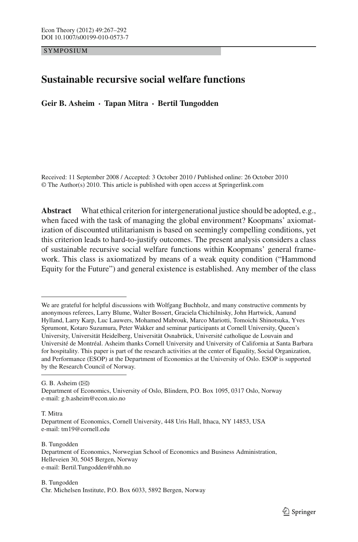SYMPOSIUM

# **Sustainable recursive social welfare functions**

**Geir B. Asheim · Tapan Mitra · Bertil Tungodden**

Received: 11 September 2008 / Accepted: 3 October 2010 / Published online: 26 October 2010 © The Author(s) 2010. This article is published with open access at Springerlink.com

**Abstract** What ethical criterion for intergenerational justice should be adopted, e.g., when faced with the task of managing the global environment? Koopmans' axiomatization of discounted utilitarianism is based on seemingly compelling conditions, yet this criterion leads to hard-to-justify outcomes. The present analysis considers a class of sustainable recursive social welfare functions within Koopmans' general framework. This class is axiomatized by means of a weak equity condition ("Hammond Equity for the Future") and general existence is established. Any member of the class

G. B. Asheim  $(\boxtimes)$ 

T. Mitra

B. Tungodden Department of Economics, Norwegian School of Economics and Business Administration, Helleveien 30, 5045 Bergen, Norway e-mail: Bertil.Tungodden@nhh.no

B. Tungodden Chr. Michelsen Institute, P.O. Box 6033, 5892 Bergen, Norway

We are grateful for helpful discussions with Wolfgang Buchholz, and many constructive comments by anonymous referees, Larry Blume, Walter Bossert, Graciela Chichilnisky, John Hartwick, Aanund Hylland, Larry Karp, Luc Lauwers, Mohamed Mabrouk, Marco Mariotti, Tomoichi Shinotsuka, Yves Sprumont, Kotaro Suzumura, Peter Wakker and seminar participants at Cornell University, Queen's University, Universität Heidelberg, Universität Osnabrück, Université catholique de Louvain and Université de Montréal. Asheim thanks Cornell University and University of California at Santa Barbara for hospitality. This paper is part of the research activities at the center of Equality, Social Organization, and Performance (ESOP) at the Department of Economics at the University of Oslo. ESOP is supported by the Research Council of Norway.

Department of Economics, University of Oslo, Blindern, P.O. Box 1095, 0317 Oslo, Norway e-mail: g.b.asheim@econ.uio.no

Department of Economics, Cornell University, 448 Uris Hall, Ithaca, NY 14853, USA e-mail: tm19@cornell.edu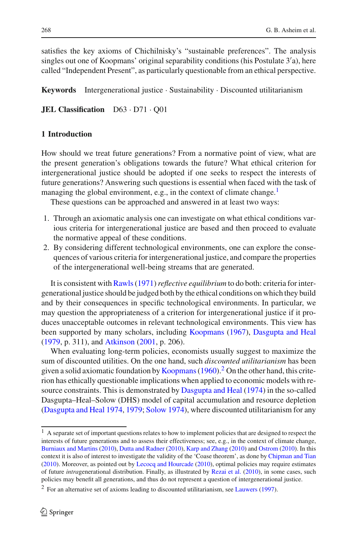satisfies the key axioms of Chichilnisky's "sustainable preferences". The analysis singles out one of Koopmans' original separability conditions (his Postulate 3'a), here called "Independent Present", as particularly questionable from an ethical perspective.

**Keywords** Intergenerational justice · Sustainability · Discounted utilitarianism

## **JEL Classification** D63 · D71 · Q01

## **1 Introduction**

How should we treat future generations? From a normative point of view, what are the present generation's obligations towards the future? What ethical criterion for intergenerational justice should be adopted if one seeks to respect the interests of future generations? Answering such questions is essential when faced with the task of managing the global environment, e.g., in the context of climate change.<sup>1</sup>

These questions can be approached and answered in at least two ways:

- 1. Through an axiomatic analysis one can investigate on what ethical conditions various criteria for intergenerational justice are based and then proceed to evaluate the normative appeal of these conditions.
- 2. By considering different technological environments, one can explore the consequences of various criteria for intergenerational justice, and compare the properties of the intergenerational well-being streams that are generated.

It is consistent with [Rawls\(1971\)](#page-25-0)*reflective equilibrium* to do both: criteria for intergenerational justice should be judged both by the ethical conditions on which they build and by their consequences in specific technological environments. In particular, we may question the appropriateness of a criterion for intergenerational justice if it produces unacceptable outcomes in relevant technological environments. This view has been supported by many scholars, including [Koopmans](#page-24-0) [\(1967\)](#page-24-0), [Dasgupta and Heal](#page-24-1) [\(1979,](#page-24-1) p. 311), and [Atkinson](#page-24-2) [\(2001](#page-24-2), p. 206).

When evaluating long-term policies, economists usually suggest to maximize the sum of discounted utilities. On the one hand, such *discounted utilitarianism* has been given a solid axiomatic foundation by Koopmans  $(1960)$ .<sup>[2](#page-1-1)</sup> On the other hand, this criterion has ethically questionable implications when applied to economic models with re-source constraints. This is demonstrated by [Dasgupta and Heal](#page-24-4) [\(1974\)](#page-24-4) in the so-called Dasgupta–Heal–Solow (DHS) model of capital accumulation and resource depletion [\(Dasgupta and Heal 1974](#page-24-4), [1979;](#page-24-1) [Solow 1974](#page-25-1)), where discounted utilitarianism for any

<span id="page-1-0"></span><sup>&</sup>lt;sup>1</sup> A separate set of important questions relates to how to implement policies that are designed to respect the interests of future generations and to assess their effectiveness; see, e.g., in the context of climate change, [Burniaux and Martins](#page-24-5) [\(2010](#page-24-5)), [Dutta and Radner](#page-24-6) [\(2010](#page-24-6)), [Karp and Zhang](#page-24-7) [\(2010](#page-24-7)) and [Ostrom](#page-25-2) [\(2010\)](#page-25-2). In this context it is also of interest to investigate the validity of the 'Coase theorem', as done by [Chipman and Tian](#page-24-8) [\(2010](#page-24-8)). Moreover, as pointed out by [Lecocq and Hourcade](#page-25-3) [\(2010](#page-25-3)), optimal policies may require estimates of future *intra*generational distribution. Finally, as illustrated by [Rezai et al.](#page-25-4) [\(2010](#page-25-4)), in some cases, such policies may benefit all generations, and thus do not represent a question of intergenerational justice.

<span id="page-1-1"></span><sup>&</sup>lt;sup>2</sup> For an alternative set of axioms leading to discounted utilitarianism, see [Lauwers](#page-25-5) [\(1997\)](#page-25-5).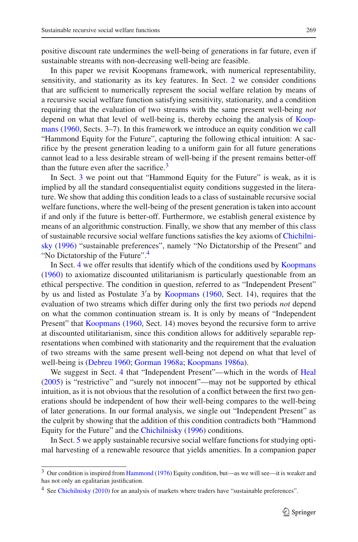positive discount rate undermines the well-being of generations in far future, even if sustainable streams with non-decreasing well-being are feasible.

In this paper we revisit Koopmans framework, with numerical representability, sensitivity, and stationarity as its key features. In Sect. [2](#page-3-0) we consider conditions that are sufficient to numerically represent the social welfare relation by means of a recursive social welfare function satisfying sensitivity, stationarity, and a condition requiring that the evaluation of two streams with the same present well-being *not* depe[nd](#page-24-3) [on](#page-24-3) [what](#page-24-3) [that](#page-24-3) [level](#page-24-3) [of](#page-24-3) [well-being](#page-24-3) [is,](#page-24-3) [thereby](#page-24-3) [echoing](#page-24-3) [the](#page-24-3) [analysis](#page-24-3) [of](#page-24-3) Koopmans [\(1960,](#page-24-3) Sects. 3–7). In this framework we introduce an equity condition we call "Hammond Equity for the Future", capturing the following ethical intuition: A sacrifice by the present generation leading to a uniform gain for all future generations cannot lead to a less desirable stream of well-being if the present remains better-off than the future even after the sacrifice.<sup>[3](#page-2-0)</sup>

In Sect. [3](#page-6-0) we point out that "Hammond Equity for the Future" is weak, as it is implied by all the standard consequentialist equity conditions suggested in the literature. We show that adding this condition leads to a class of sustainable recursive social welfare functions, where the well-being of the present generation is taken into account if and only if the future is better-off. Furthermore, we establish general existence by means of an algorithmic construction. Finally, we show that any member of this class of [sustainable](#page-24-9) [recursive](#page-24-9) [social](#page-24-9) [welfare](#page-24-9) [functions](#page-24-9) [satisfies](#page-24-9) [the](#page-24-9) [key](#page-24-9) [axioms](#page-24-9) [of](#page-24-9) Chichilnisky [\(1996\)](#page-24-9) "sustainable preferences", namely "No Dictatorship of the Present" and "No Dictatorship of the Future".<sup>[4](#page-2-1)</sup>

In Sect. [4](#page-10-0) we offer results that identify which of the conditions used by [Koopmans](#page-24-3) [\(1960\)](#page-24-3) to axiomatize discounted utilitarianism is particularly questionable from an ethical perspective. The condition in question, referred to as "Independent Present" by us and listed as Postulate 3'a by [Koopmans](#page-24-3) [\(1960](#page-24-3), Sect. 14), requires that the evaluation of two streams which differ during only the first two periods *not* depend on what the common continuation stream is. It is only by means of "Independent Present" that [Koopmans](#page-24-3) [\(1960,](#page-24-3) Sect. 14) moves beyond the recursive form to arrive at discounted utilitarianism, since this condition allows for additively separable representations when combined with stationarity and the requirement that the evaluation of two streams with the same present well-being not depend on what that level of well-being is [\(Debreu 1960](#page-24-10); [Gorman 1968a;](#page-24-11) [Koopmans 1986a\)](#page-24-12).

We suggest in Sect. [4](#page-10-0) that "Independent Present"—which in the words of [Heal](#page-24-13) [\(2005\)](#page-24-13) is "restrictive" and "surely not innocent"—may not be supported by ethical intuition, as it is not obvious that the resolution of a conflict between the first two generations should be independent of how their well-being compares to the well-being of later generations. In our formal analysis, we single out "Independent Present" as the culprit by showing that the addition of this condition contradicts both "Hammond Equity for the Future" and the [Chichilnisky](#page-24-9) [\(1996\)](#page-24-9) conditions.

In Sect. [5](#page-11-0) we apply sustainable recursive social welfare functions for studying optimal harvesting of a renewable resource that yields amenities. In a companion paper

<span id="page-2-0"></span><sup>3</sup> Our condition is inspired from [Hammond](#page-24-14) [\(1976\)](#page-24-14) Equity condition, but—as we will see—it is weaker and has not only an egalitarian justification.

<span id="page-2-1"></span><sup>&</sup>lt;sup>4</sup> See [Chichilnisky](#page-24-15) [\(2010](#page-24-15)) for an analysis of markets where traders have "sustainable preferences".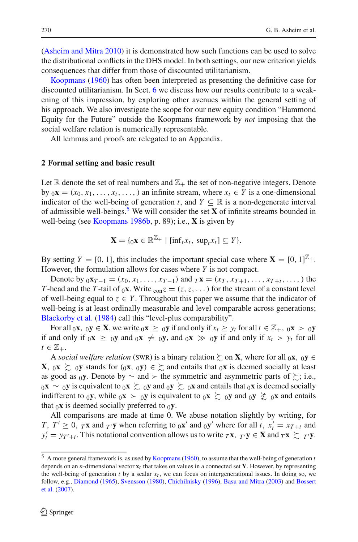[\(Asheim and Mitra 2010\)](#page-23-0) it is demonstrated how such functions can be used to solve the distributional conflicts in the DHS model. In both settings, our new criterion yields [consequences](#page-24-3) that differ from those of discounted utilitarianism.

Koopmans [\(1960](#page-24-3)) has often been interpreted as presenting the definitive case for discounted utilitarianism. In Sect. [6](#page-13-0) we discuss how our results contribute to a weakening of this impression, by exploring other avenues within the general setting of his approach. We also investigate the scope for our new equity condition "Hammond Equity for the Future" outside the Koopmans framework by *not* imposing that the social welfare relation is numerically representable.

All lemmas and proofs are relegated to an Appendix.

## <span id="page-3-0"></span>**2 Formal setting and basic result**

Let  $\mathbb R$  denote the set of real numbers and  $\mathbb Z_+$  the set of non-negative integers. Denote by  $_0$ **x** = ( $x_0, x_1, \ldots, x_t, \ldots$ ) an infinite stream, where  $x_t \in Y$  is a one-dimensional indicator of the well-being of generation *t*, and  $Y \subseteq \mathbb{R}$  is a non-degenerate interval of admissible well-beings.<sup>[5](#page-3-1)</sup> We will consider the set  $X$  of infinite streams bounded in well-being (see [Koopmans 1986b,](#page-25-6) p. 89); i.e., **X** is given by

$$
\mathbf{X} = \{ \mathbf{0} \mathbf{x} \in \mathbb{R}^{\mathbb{Z}_+} \mid [\inf_t x_t, \sup_t x_t] \subseteq Y \}.
$$

By setting  $Y = [0, 1]$ , this includes the important special case where  $\mathbf{X} = [0, 1]^{\mathbb{Z}_+}$ . However, the formulation allows for cases where *Y* is not compact.

Denote by  $_0$ **x**<sub>*T*−1</sub> = (*x*<sub>0</sub>, *x*<sub>1</sub>, ..., *x*<sub>*T*−1</sub>) and  $_T$ **x** = (*x*<sub>*T*</sub>, *x*<sub>*T*+1</sub>, ..., *x*<sub>*T*+*t*</sub>, ...,) the *T*-head and the *T*-tail of  $_0$ **x**. Write  $_{con}z = (z, z, \ldots)$  for the stream of a constant level of well-being equal to  $z \in Y$ . Throughout this paper we assume that the indicator of well-being is at least ordinally measurable and level comparable across generations; [Blackorby et al.](#page-24-16) [\(1984\)](#page-24-16) call this "level-plus comparability".

For all  $_0$ **x**,  $_0$ **y**  $\in$  **X**, we write  $_0$ **x**  $\geq 0$ **y** if and only if  $x_t \geq y_t$  for all  $t \in \mathbb{Z}_+$ ,  $_0$ **x**  $> 0$ **y** if and only if  $_0$ **x**  $\geq 0$ **y** and  $_0$ **x**  $\neq 0$ **y**, and  $_0$ **x**  $\gg 0$ **y** if and only if  $x_t > y_t$  for all  $t \in \mathbb{Z}_{+}.$ 

A *social welfare relation* (SWR) is a binary relation  $\succsim$  on **X**, where for all <sub>0</sub>**x**, <sub>0</sub>**y**  $\in$ **X**,  $\alpha$ **x**  $\geq$   $\alpha$ **y** stands for  $(\alpha$ **x**,  $\alpha$ **y**) ∈  $\geq$  and entails that  $\alpha$ **x** is deemed socially at least as good as <sub>0</sub>y. Denote by  $\sim$  and  $\succ$  the symmetric and asymmetric parts of  $\succsim$ ; i.e., 0**x** ∼ 0**y** is equivalent to 0**x**  $\succsim$  0**y** and 0**y**  $\succsim$  0**x** and entails that 0**x** is deemed socially indifferent to  $_0$ **y**, while  $_0$ **x**  $\gt$   $_0$ **y** is equivalent to  $_0$ **x**  $\gt$   $_0$ **y** and  $_0$ **y**  $\gt$   $_0$ **x** and entails that  $_0$ **x** is deemed socially preferred to  $_0$ **y**.

All comparisons are made at time 0. We abuse notation slightly by writing, for *T*,  $T' \ge 0$ ,  $_T$ **x** and  $_{T'}$ **y** when referring to  $_0$ **x**<sup> $\prime$ </sup> and  $_0$ **y**<sup> $\prime$ </sup> where for all *t*,  $x'_t = x_{T+t}$  and  $y'_t = y_{T'+t}$ . This notational convention allows us to write  $T$ **x**,  $T'$ **y**  $\in$  **X** and  $T$ **x**  $\geq T'$ **y**.

<span id="page-3-1"></span><sup>5</sup> A more general framework is, as used by [Koopmans](#page-24-3) [\(1960\)](#page-24-3), to assume that the well-being of generation *t* depends on an *n*-dimensional vector  $\mathbf{x}_t$  that takes on values in a connected set **Y**. However, by representing the well-being of generation  $t$  by a scalar  $x_t$ , we can focus on intergenerational issues. In doing so, we follow, e.g., [Diamond](#page-24-17) [\(1965](#page-24-17)), [Svensson](#page-25-7) [\(1980](#page-25-7)), [Chichilnisky](#page-24-9) [\(1996\)](#page-24-9), [Basu and Mitra](#page-24-18) [\(2003](#page-24-18)) and Bossert et al. [\(2007\)](#page-24-19).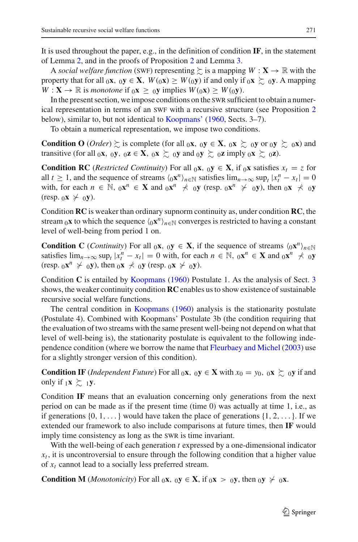It is used throughout the paper, e.g., in the definition of condition **IF**, in the statement of Lemma [2,](#page-16-0) and in the proofs of Proposition [2](#page-6-1) and Lemma [3.](#page-20-0)

A *social welfare function* (SWF) representing  $\succsim$  is a mapping  $W : \mathbf{X} \to \mathbb{R}$  with the property that for all  $_0$ **x**,  $_0$ **y**  $\in$  **X**,  $W(0) \geq W(0)$  if and only if  $_0$ **x**  $\geq 0$ **y**. A mapping  $W: \mathbf{X} \to \mathbb{R}$  is *monotone* if  ${}_0\mathbf{x} \geq {}_0\mathbf{y}$  implies  $W({}_0\mathbf{x}) \geq W({}_0\mathbf{y})$ .

In the present section, we impose conditions on the swr sufficient to obtain a numer-ical representation in terms of an SWF with a recursive structure (see Proposition [2](#page-6-1)) below), similar to, but not identical to [Koopmans'](#page-24-3) [\(1960](#page-24-3), Sects. 3–7).

To obtain a numerical representation, we impose two conditions.

**Condition O** (*Order*)  $\succsim$  is complete (for all  $_0$ **x**,  $_0$ **y**  $\in$  **X**,  $_0$ **x**  $\succsim$   $_0$ **y**  $\downarrow \sim$   $_0$ **x**) and transitive (for all  $_0$ **x**,  $_0$ **y**,  $_0$ **z**  $\in$  **X**,  $_0$ **x**  $\geq$   $_0$ **y** and  $_0$ **y**  $\geq$   $_0$ **z** imply  $_0$ **x**  $\geq$   $_0$ **z**).

**Condition RC** (*Restricted Continuity*) For all  $_0$ **x**,  $_0$ **y**  $\in$  **X**, if  $_0$ **x** satisfies  $x_t = z$  for all *t*  $\geq 1$ , and the sequence of streams  $\langle 0 \mathbf{x}^n \rangle_{n \in \mathbb{N}}$  satisfies  $\lim_{n \to \infty} \sup_t |x_t^n - x_t| = 0$ with, for each  $n \in \mathbb{N}$ ,  $0x^n \in X$  and  $0x^n \nless 0$ **y** (resp.  $0x^n \nless 0$ **y**), then  $0x \nless 0$ **y** (resp.  $0X \not\geq 0Y$ ).

Condition **RC** is weaker than ordinary supnorm continuity as, under condition **RC**, the stream <sub>0</sub>**x** to which the sequence  $\langle 0 \mathbf{x}^n \rangle_{n \in \mathbb{N}}$  converges is restricted to having a constant level of well-being from period 1 on.

**Condition C** (*Continuity*) For all  $_0$ **x**,  $_0$ **y**  $\in$  **X**, if the sequence of streams  $\langle_0$ **x**<sup>*n*</sup> $\rangle$ <sub>*n*∈N</sub> satisfies  $\lim_{n\to\infty} \sup_t |x_t^n - x_t| = 0$  with, for each  $n \in \mathbb{N}$ ,  $0x^n \in \mathbf{X}$  and  $0x^n \nless 0$ **y** (resp.  $0\mathbf{x}^n \nsucceq 0\mathbf{y}$ ), then  $0\mathbf{x} \nsucceq 0\mathbf{y}$  (resp.  $0\mathbf{x} \nsucceq 0\mathbf{y}$ ).

Condition **C** is entailed by [Koopmans](#page-24-3) [\(1960](#page-24-3)) Postulate 1. As the analysis of Sect. [3](#page-6-0) shows, the weaker continuity condition **RC** enables us to show existence of sustainable recursive social welfare functions.

The central condition in [Koopmans](#page-24-3) [\(1960\)](#page-24-3) analysis is the stationarity postulate (Postulate 4). Combined with Koopmans' Postulate 3b (the condition requiring that the evaluation of two streams with the same present well-being not depend on what that level of well-being is), the stationarity postulate is equivalent to the following independence condition (where we borrow the name that [Fleurbaey and Michel](#page-24-20) [\(2003](#page-24-20)) use for a slightly stronger version of this condition).

**Condition IF** (*Independent Future*) For all <sub>0</sub>**x**,  $_0$ **y**  $\in$  **X** with  $x_0 = y_0$ ,  $_0$ **x**  $\geq$   $_0$ **y** if and only if  $_1 \mathbf{x} \geq 1 \mathbf{y}$ .

Condition **IF** means that an evaluation concerning only generations from the next period on can be made as if the present time (time 0) was actually at time 1, i.e., as if generations  $\{0, 1, \ldots\}$  would have taken the place of generations  $\{1, 2, \ldots\}$ . If we extended our framework to also include comparisons at future times, then **IF** would imply time consistency as long as the SWR is time invariant.

With the well-being of each generation *t* expressed by a one-dimensional indicator  $x_t$ , it is uncontroversial to ensure through the following condition that a higher value of *xt* cannot lead to a socially less preferred stream.

**Condition M** (*Monotonicity*) For all  $_0$ **x**,  $_0$ **y**  $\in$  **X**, if  $_0$ **x**  $>$   $_0$ **y**, then  $_0$ **y**  $\not\neq$   $_0$ **x**.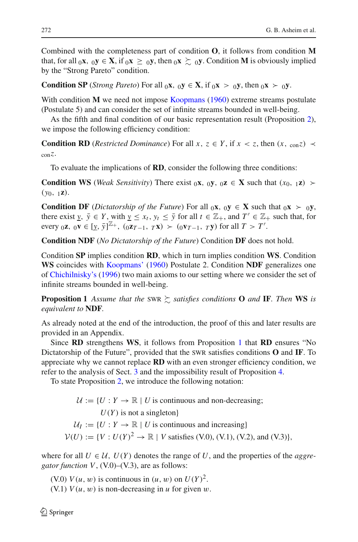Combined with the completeness part of condition **O**, it follows from condition **M** that, for all  ${}_0x, \, {}_0y \in X$ , if  ${}_0x \geq {}_0y$ , then  ${}_0x \succsim {}_0y$ . Condition **M** is obviously implied by the "Strong Pareto" condition.

**Condition SP** (*Strong Pareto*) For all  $_0$ **x**,  $_0$ **y**  $\in$  **X**, if  $_0$ **x**  $>$   $_0$ **y**, then  $_0$ **x**  $>$   $_0$ **y**.

With condition **M** we need not impose [Koopmans](#page-24-3) [\(1960\)](#page-24-3) extreme streams postulate (Postulate 5) and can consider the set of infinite streams bounded in well-being.

As the fifth and final condition of our basic representation result (Proposition [2\)](#page-6-1), we impose the following efficiency condition:

**Condition RD** (*Restricted Dominance*) For all  $x, z \in Y$ , if  $x < z$ , then  $(x, \text{con } z) \prec$ con*z*.

To evaluate the implications of **RD**, consider the following three conditions:

**Condition WS** (*Weak Sensitivity*) There exist  $_0$ **x**,  $_0$ **y**,  $_0$ **z**  $\in$  **X** such that  $(x_0, 1$ **z**)  $\succ$  $(y_0, 1z)$ .

**Condition DF** (*Dictatorship of the Future*) For all  $_0$ **x**,  $_0$ **y**  $\in$  **X** such that  $_0$ **x**  $>$   $_0$ **y**, there exist *y*,  $\bar{y} \in Y$ , with  $y \le x_t$ ,  $y_t \le \bar{y}$  for all  $t \in \mathbb{Z}_+$ , and  $T' \in \mathbb{Z}_+$  such that, for every <sub>0</sub>**z**,  $_0$ **v** ∈ [*y*,  $\bar{y}$ ]<sup>Z<sub>+</sub></sup>,  $(0zT-1, TX) > (0VT-1, TY)$  for all  $T > T'$ .

**Condition NDF** (*No Dictatorship of the Future*) Condition **DF** does not hold.

Condition **SP** implies condition **RD**, which in turn implies condition **WS**. Condition **WS** coincides with [Koopmans'](#page-24-3) [\(1960](#page-24-3)) Postulate 2. Condition **NDF** generalizes one of [Chichilnisky's](#page-24-9) [\(1996](#page-24-9)) two main axioms to our setting where we consider the set of infinite streams bounded in well-being.

<span id="page-5-0"></span>**Proposition 1** Assume that the SWR  $\succsim$  satisfies conditions **O** and IF. Then WS is *equivalent to* **NDF***.*

As already noted at the end of the introduction, the proof of this and later results are provided in an Appendix.

Since **RD** strengthens **WS**, it follows from Proposition [1](#page-5-0) that **RD** ensures "No Dictatorship of the Future", provided that the swr satisfies conditions **O** and **IF**. To appreciate why we cannot replace **RD** with an even stronger efficiency condition, we refer to the analysis of Sect. [3](#page-6-0) and the impossibility result of Proposition [4.](#page-8-0)

To state Proposition [2,](#page-6-1) we introduce the following notation:

 $U := \{U : Y \to \mathbb{R} \mid U \text{ is continuous and non-decreasing};\}$  $U(Y)$  is not a singleton}  $U_I := \{ U : Y \to \mathbb{R} \mid U \text{ is continuous and increasing } \}$  $V(U) := \{V : U(Y)^2 \to \mathbb{R} \mid V \text{ satisfies (V.0), (V.1), (V.2), and (V.3)}\},\$ 

where for all  $U \in \mathcal{U}$ ,  $U(Y)$  denotes the range of U, and the properties of the *aggregator function V*, (V.0)–(V.3), are as follows:

(V.0)  $V(u, w)$  is continuous in  $(u, w)$  on  $U(Y)^2$ .

(V.1)  $V(u, w)$  is non-decreasing in *u* for given *w*.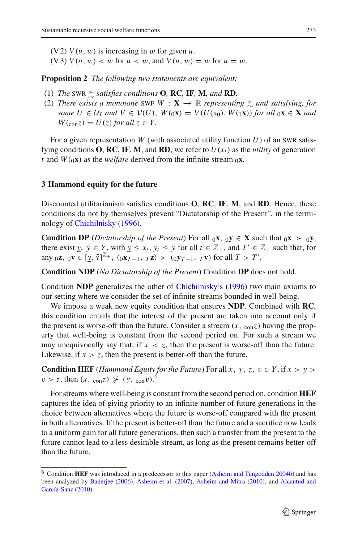$(V.2)$   $V(u, w)$  is increasing in w for given u.

(V.3)  $V(u, w) < w$  for  $u < w$ , and  $V(u, w) = w$  for  $u = w$ .

<span id="page-6-1"></span>**Proposition 2** *The following two statements are equivalent:*

- (1) *The* SWR  $\succsim$  *satisfies conditions* **O***,* **RC***,* **IF***,* **M***, and* **RD***.*
- (2) *There exists a monotone* SWF  $W : \mathbf{X} \to \mathbb{R}$  *representing*  $\succsim$  *and satisfying, for some U*  $\in U_1$  *and*  $V \in V(U)$ ,  $W({}_0x) = V(U(x_0), W({}_1x))$  *for all*  ${}_0x \in X$  *and*  $W(c_{on}z) = U(z)$  *for all*  $z \in Y$ .

For a given representation *W* (with associated utility function *U*) of an SWR satisfying conditions **O**, **RC**, **IF**, **M**, and **RD**, we refer to  $U(x_t)$  as the *utility* of generation *t* and  $W(0x)$  as the *welfare* derived from the infinite stream  $0x$ .

#### <span id="page-6-0"></span>**3 Hammond equity for the future**

Discounted utilitarianism satisfies conditions **O**, **RC**, **IF**, **M**, and **RD**. Hence, these conditions do not by themselves prevent "Dictatorship of the Present", in the terminology of [Chichilnisky](#page-24-9) [\(1996](#page-24-9)).

**Condition DP** (*Dictatorship of the Present*) For all  $_0$ **x**,  $_0$ **y**  $\in$  **X** such that  $_0$ **x**  $\succ$   $_0$ **y**, there exist *y*,  $\bar{y} \in Y$ , with  $y \leq x_t$ ,  $y_t \leq \bar{y}$  for all  $t \in \mathbb{Z}_+$ , and  $T' \in \mathbb{Z}_+$  such that, for  $\lim_{T \to \infty} \int_0^T \mathbf{z} \cdot \mathbf{y} \cdot \mathbf{y} \cdot \mathbf{y} = \lim_{T \to \infty} \int_0^T \mathbf{y} \cdot \mathbf{y} \cdot \mathbf{y} \cdot \mathbf{y} \cdot \mathbf{y} \cdot \mathbf{y} \cdot \mathbf{y} \cdot \mathbf{y} \cdot \mathbf{y} \cdot \mathbf{y} \cdot \mathbf{y} \cdot \mathbf{y} \cdot \mathbf{y} \cdot \mathbf{y} \cdot \mathbf{y} \cdot \mathbf{y} \cdot \mathbf{y} \cdot \mathbf{y} \cdot \mathbf{y} \cdot \mathbf{y$ 

**Condition NDP** (*No Dictatorship of the Present*) Condition **DP** does not hold.

Condition **NDP** generalizes the other of [Chichilnisky's](#page-24-9) [\(1996](#page-24-9)) two main axioms to our setting where we consider the set of infinite streams bounded in well-being.

We impose a weak new equity condition that ensures **NDP**. Combined with **RC**, this condition entails that the interest of the present are taken into account only if the present is worse-off than the future. Consider a stream  $(x, \text{conz})$  having the property that well-being is constant from the second period on. For such a stream we may unequivocally say that, if  $x < z$ , then the present is worse-off than the future. Likewise, if  $x > z$ , then the present is better-off than the future.

**Condition HEF** (*Hammond Equity for the Future*) For all *x*, *y*, *z*, *v*  $\in$  *Y*, if *x* > *y* >  $v > z$ , then  $(x, \text{con } z) \nsucc (y, \text{con } v)$ .

For streams where well-being is constant from the second period on, condition **HEF** captures the idea of giving priority to an infinite number of future generations in the choice between alternatives where the future is worse-off compared with the present in both alternatives. If the present is better-off than the future and a sacrifice now leads to a uniform gain for all future generations, then such a transfer from the present to the future cannot lead to a less desirable stream, as long as the present remains better-off than the future.

<span id="page-6-2"></span><sup>6</sup> Condition **HEF** was introduced in a predecessor to this paper [\(Asheim and Tungodden 2004b\)](#page-23-1) and has been analyzed by [Banerjee](#page-24-21) [\(2006\)](#page-24-21), [Asheim et al.](#page-23-2) [\(2007\)](#page-23-2), [Asheim and Mitra](#page-23-0) [\(2010\)](#page-23-0), and Alcantud and García-Sanz [\(2010\)](#page-23-3).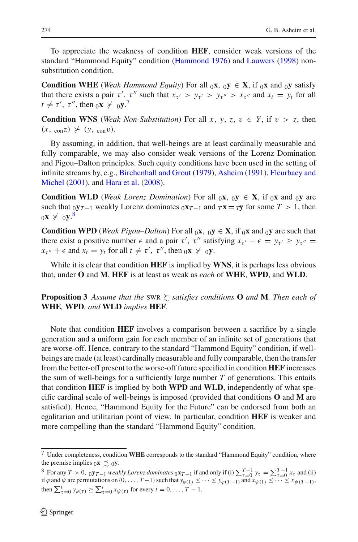To appreciate the weakness of condition **HEF**, consider weak versions of the standard "Hammond Equity" condition [\(Hammond 1976\)](#page-24-14) and [Lauwers](#page-25-8) [\(1998\)](#page-25-8) nonsubstitution condition.

**Condition WHE** (*Weak Hammond Equity*) For all  $_0$ **x**,  $_0$ **y**  $\in$  **X**, if  $_0$ **x** and  $_0$ **y** satisfy that there exists a pair  $\tau'$ ,  $\tau''$  such that  $x_{\tau'} > y_{\tau} > y_{\tau''} > x_{\tau''}$  and  $x_t = y_t$  for all  $t \neq \tau'$ ,  $\tau''$ , then  ${}_0\mathbf{x} \not\succ {}_0\mathbf{y}$ .<sup>[7](#page-7-0)</sup>

**Condition WNS** (*Weak Non-Substitution*) For all *x*, *y*, *z*, *v*  $\in$  *Y*, if *v*  $>$  *z*, then  $(x, \text{con } z) \not\succ (y, \text{con } v).$ 

By assuming, in addition, that well-beings are at least cardinally measurable and fully comparable, we may also consider weak versions of the Lorenz Domination and Pigou–Dalton principles. Such equity conditions have been used in the setting of infinite streams by, e.g., [Birchenhall and Grout](#page-24-22) [\(1979\)](#page-24-22), [Asheim](#page-23-4) [\(1991](#page-23-4)), Fleurbaey and Michel [\(2001\)](#page-24-23), and [Hara et al.](#page-24-24) [\(2008\)](#page-24-24).

**Condition WLD** (*Weak Lorenz Domination*) For all  $_0$ **x**,  $_0$ **y**  $\in$  **X**, if  $_0$ **x** and  $_0$ **y** are such that  $0YT-1$  weakly Lorenz dominates  $0XT-1$  and  $TX = TY$  for some  $T > 1$ , then  $_{0}x \not\succ 0y$ .<sup>[8](#page-7-1)</sup>

**Condition WPD** (*Weak Pigou–Dalton*) For all  $_0$ **x**,  $_0$ **y**  $\in$  **X**, if  $_0$ **x** and  $_0$ **y** are such that there exist a positive number  $\epsilon$  and a pair  $\tau'$ ,  $\tau''$  satisfying  $x_{\tau'} - \epsilon = y_{\tau'} \ge y_{\tau''} =$  $x_{\tau''} + \epsilon$  and  $x_t = y_t$  for all  $t \neq \tau'$ ,  $\tau''$ , then  ${}_0\mathbf{x} \not> {}_0\mathbf{y}$ .

<span id="page-7-2"></span>While it is clear that condition **HEF** is implied by **WNS**, it is perhaps less obvious that, under **O** and **M**, **HEF** is at least as weak as *each* of **WHE**, **WPD**, and **WLD**.

**Proposition 3** Assume that the SWR  $\gtrsim$  satisfies conditions **O** and **M**. Then each of **WHE***,* **WPD***, and* **WLD** *implies* **HEF***.*

Note that condition **HEF** involves a comparison between a sacrifice by a single generation and a uniform gain for each member of an infinite set of generations that are worse-off. Hence, contrary to the standard "Hammond Equity" condition, if wellbeings are made (at least) cardinally measurable and fully comparable, then the transfer from the better-off present to the worse-off future specified in condition **HEF** increases the sum of well-beings for a sufficiently large number *T* of generations. This entails that condition **HEF** is implied by both **WPD** and **WLD**, independently of what specific cardinal scale of well-beings is imposed (provided that conditions **O** and **M** are satisfied). Hence, "Hammond Equity for the Future" can be endorsed from both an egalitarian and utilitarian point of view. In particular, condition **HEF** is weaker and more compelling than the standard "Hammond Equity" condition.

<span id="page-7-0"></span><sup>7</sup> Under completeness, condition **WHE** corresponds to the standard "Hammond Equity" condition, where the premise implies  $_{0}\mathbf{x} \precsim 0\mathbf{y}$ .

<span id="page-7-1"></span> $8 \text{ For any } T > 0$ ,  $0 \text{ y}_{T-1}$  *weakly Lorenz dominates*  $0 \textbf{x}_{T-1}$  if and only if (i)  $\sum_{\tau=0}^{T-1} y_{\tau} = \sum_{\tau=0}^{T-1} x_{\tau}$  and (ii) if  $\varphi$  and  $\psi$  are permutations on  $\{0,\ldots,T-1\}$  such that  $y_{\varphi(1)} \leq \cdots \leq y_{\varphi(T-1)}$  and  $x_{\psi(1)} \leq \cdots \leq x_{\psi(T-1)}$ , then  $\sum_{\tau=0}^{t} y_{\varphi(\tau)} \ge \sum_{\tau=0}^{t} x_{\psi(\tau)}$  for every  $t = 0, \ldots, T-1$ .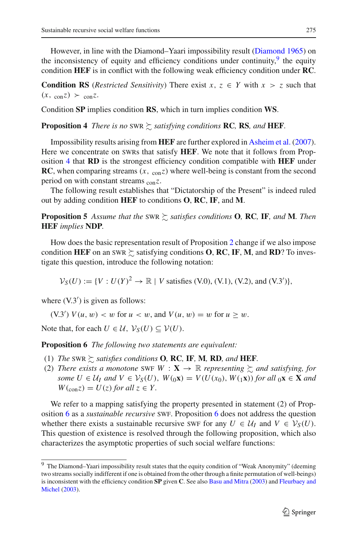However, in line with the Diamond–Yaari impossibility result [\(Diamond 1965](#page-24-17)) on the inconsistency of equity and efficiency conditions under continuity, $9$  the equity condition **HEF** is in conflict with the following weak efficiency condition under **RC**.

**Condition RS** (*Restricted Sensitivity*) There exist *x*,  $z \in Y$  with  $x > z$  such that  $(x, \text{con } z)$   $\succ$  con*z*.

<span id="page-8-0"></span>Condition **SP** implies condition **RS**, which in turn implies condition **WS**.

**Proposition 4** *There is no* SWR  $\gtrsim$  *satisfying conditions* **RC***,* **RS***, and* **HEF***.* 

Impossibility results arising from **HEF** are further explored in [Asheim et al.](#page-23-2) [\(2007](#page-23-2)). Here we concentrate on swrs that satisfy **HEF**. We note that it follows from Proposition [4](#page-8-0) that **RD** is the strongest efficiency condition compatible with **HEF** under **RC**, when comparing streams  $(x, \text{conz})$  where well-being is constant from the second period on with constant streams con*z*.

<span id="page-8-4"></span>The following result establishes that "Dictatorship of the Present" is indeed ruled out by adding condition **HEF** to conditions **O**, **RC**, **IF**, and **M**.

**Proposition 5** *Assume that the* swr - *satisfies conditions* **O***,* **RC***,* **IF***, and* **M***. Then* **HEF** *implies* **NDP***.*

How does the basic representation result of Proposition [2](#page-6-1) change if we also impose condition  $\textbf{H}\textbf{E}\textbf{F}$  on an SWR  $\succsim$  satisfying conditions  $\textbf{O}, \textbf{R}\textbf{C}, \textbf{IF}, \textbf{M},$  and  $\textbf{R}\textbf{D}$ ? To investigate this question, introduce the following notation:

 $V_S(U) := \{V : U(Y)^2 \to \mathbb{R} \mid V \text{ satisfies (V.0), (V.1), (V.2), and (V.3')}\},\$ 

where  $(V.3')$  is given as follows:

(V.3<sup>'</sup>)  $V(u, w) < w$  for  $u < w$ , and  $V(u, w) = w$  for  $u \geq w$ .

<span id="page-8-2"></span>Note that, for each  $U \in \mathcal{U}$ ,  $\mathcal{V}_S(U) \subseteq \mathcal{V}(U)$ .

**Proposition 6** *The following two statements are equivalent:*

- (1) *The* SWR  $\succsim$  *satisfies conditions* **O***,* **RC***,* **IF***,* **M***,* **RD***, and* **HEF***.*
- (2) *There exists a monotone* SWF  $W : \mathbf{X} \to \mathbb{R}$  *representing*  $\succsim$  *and satisfying, for some U*  $\in U_1$  *and*  $V \in V_S(U)$ ,  $W(\omega x) = V(U(x_0), W(\omega x))$  *for all*  $\omega x \in X$  *and*  $W(c_{on}z) = U(z)$  *for all*  $z \in Y$ .

We refer to a mapping satisfying the property presented in statement (2) of Proposition [6](#page-8-2) as a *sustainable recursive* swf. Proposition [6](#page-8-2) does not address the question whether there exists a sustainable recursive SWF for any  $U \in \mathcal{U}_I$  and  $V \in \mathcal{V}_S(U)$ . This question of existence is resolved through the following proposition, which also characterizes the asymptotic properties of such social welfare functions:

<span id="page-8-3"></span><span id="page-8-1"></span><sup>&</sup>lt;sup>9</sup> The Diamond–Yaari impossibility result states that the equity condition of "Weak Anonymity" (deeming two streams socially indifferent if one is obtained from the other through a finite permutation of well-beings) is inco[nsistent](#page-24-20) [with](#page-24-20) [the](#page-24-20) [efficiency](#page-24-20) [condition](#page-24-20) **SP** given **C**. See also [Basu and Mitra](#page-24-18) [\(2003\)](#page-24-18) and Fleurbaey and Michel [\(2003\)](#page-24-20).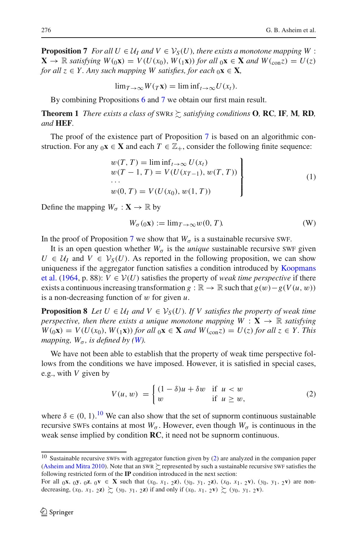**Proposition 7** *For all*  $U \in U_I$  *and*  $V \in V_S(U)$ *, there exists a monotone mapping* W :  $\mathbf{X} \to \mathbb{R}$  *satisfying*  $W(\alpha \mathbf{x}) = V(U(x_0), W(\mathbf{x}))$  *for all*  $\alpha \mathbf{x} \in \mathbf{X}$  *and*  $W(c_0 \alpha \mathbf{z}) = U(\mathbf{z})$ *for all*  $z \in Y$ *. Any such mapping W satisfies, for each*  ${}_{0}x \in X$ *,* 

$$
\lim_{T\to\infty}W(\tau\mathbf{x})=\liminf_{t\to\infty}U(x_t).
$$

By combining Propositions [6](#page-8-2) and [7](#page-8-3) we obtain our first main result.

<span id="page-9-5"></span>**Theorem 1** *There exists a class of* SWRs  $\succsim$  *satisfying conditions* **O***,* **RC***,* **IF***,* **M***,* **RD***, and* **HEF***.*

The proof of the existence part of Proposition [7](#page-8-3) is based on an algorithmic construction. For any  ${}_0\mathbf{x} \in \mathbf{X}$  and each  $T \in \mathbb{Z}_+$ , consider the following finite sequence:

$$
w(T, T) = \liminf_{t \to \infty} U(x_t)
$$
  
\n
$$
w(T - 1, T) = V(U(x_{T-1}), w(T, T))
$$
  
\n...  
\n
$$
w(0, T) = V(U(x_0), w(1, T))
$$
\n(1)

<span id="page-9-3"></span><span id="page-9-0"></span>Define the mapping  $W_{\sigma} : \mathbf{X} \to \mathbb{R}$  by

$$
W_{\sigma}(0X) := \lim_{T \to \infty} w(0, T). \tag{W}
$$

In the proof of Proposition [7](#page-8-3) we show that  $W_{\sigma}$  is a sustainable recursive SWF.

It is an open question whether  $W_{\sigma}$  is the *unique* sustainable recursive SWF given  $U \in \mathcal{U}_I$  and  $V \in \mathcal{V}_S(U)$ . As reported in the following proposition, we can show uniq[ueness](#page-25-9) [if](#page-25-9) [the](#page-25-9) [aggregator](#page-25-9) [function](#page-25-9) [satisfies](#page-25-9) [a](#page-25-9) [condition](#page-25-9) [introduced](#page-25-9) [by](#page-25-9) Koopmans et al. [\(1964,](#page-25-9) p. 88):  $V \in V(U)$  satisfies the property of *weak time perspective* if there exists a continuous increasing transformation *g* :  $\mathbb{R} \to \mathbb{R}$  such that  $g(w) - g(V(u, w))$ is a non-decreasing function of w for given *u*.

<span id="page-9-4"></span>**Proposition 8** *Let*  $U \in U_I$  *and*  $V \in V_S(U)$ *. If V satisfies the property of weak time perspective, then there exists a unique monotone mapping*  $W : X \to \mathbb{R}$  *satisfying*  $W$ ( $_0$ **x**) =  $V$ ( $U$ ( $x$ <sub>0</sub>),  $W$ ( $_1$ **x**)) *for all*  $_0$ **x**  $\in$  **X** *and*  $W$ ( $_{conz}$ ) =  $U$ ( $z$ ) *for all*  $z \in$  *Y*. This *mapping,*  $W_{\sigma}$ *, is defined by [\(W\)](#page-9-0).* 

We have not been able to establish that the property of weak time perspective follows from the conditions we have imposed. However, it is satisfied in special cases, e.g., with *V* given by

$$
V(u, w) = \begin{cases} (1 - \delta)u + \delta w & \text{if } u < w \\ w & \text{if } u \ge w, \end{cases}
$$
 (2)

<span id="page-9-2"></span>where  $\delta \in (0, 1)$ .<sup>[10](#page-9-1)</sup> We can also show that the set of supnorm continuous sustainable recursive swFs contains at most  $W_{\sigma}$ . However, even though  $W_{\sigma}$  is continuous in the weak sense implied by condition **RC**, it need not be supnorm continuous.

<span id="page-9-1"></span> $10$  Sustainable recursive SWFs with aggregator function given by [\(2\)](#page-9-2) are analyzed in the companion paper [\(Asheim and Mitra 2010\)](#page-23-0). Note that an swr  $\gtrsim$  represented by such a sustainable recursive SWF satisfies the following restricted form of the **IP** condition introduced in the next section:

For all  $_0$ **x**,  $_0$ **y**,  $_0$ **z**,  $_0$ **v**  $\in$  **X** such that  $(x_0, x_1, 2$ **z**),  $(y_0, y_1, 2$ **z**),  $(x_0, x_1, 2$ **v**),  $(y_0, y_1, 2$ **v**) are nondecreasing,  $(x_0, x_1, 2z) \succeq (y_0, y_1, 2z)$  if and only if  $(x_0, x_1, 2v) \succeq (y_0, y_1, 2v)$ .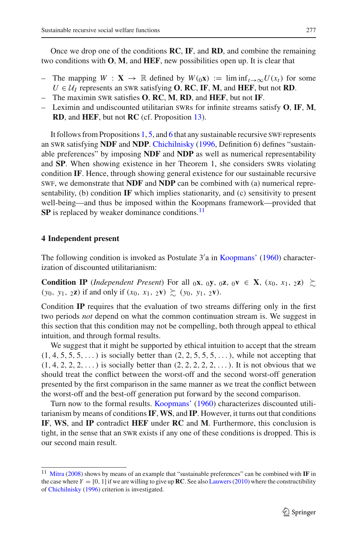Once we drop one of the conditions **RC**, **IF**, and **RD**, and combine the remaining two conditions with **O**, **M**, and **HEF**, new possibilities open up. It is clear that

- The mapping  $W : \mathbf{X} \to \mathbb{R}$  defined by  $W({}_{0}\mathbf{X}) := \liminf_{t \to \infty} U(x_t)$  for some  $U \in \mathcal{U}_I$  represents an SWR satisfying **O**, **RC**, **IF**, **M**, and **HEF**, but not **RD**.
- The maximin swr satisfies **O**, **RC**, **M**, **RD**, and **HEF**, but not **IF**.
- Leximin and undiscounted utilitarian swrs for infinite streams satisfy **O**, **IF**, **M**, **RD**, and **HEF**, but not **RC** (cf. Proposition [13\)](#page-13-1).

It follows from Propositions  $1, 5$  $1, 5$ , and [6](#page-8-2) that any sustainable recursive SWF represents an swr satisfying **NDF** and **NDP**. [Chichilnisky](#page-24-9) [\(1996](#page-24-9), Definition 6) defines "sustainable preferences" by imposing **NDF** and **NDP** as well as numerical representability and **SP**. When showing existence in her Theorem 1, she considers swrs violating condition **IF**. Hence, through showing general existence for our sustainable recursive swf, we demonstrate that **NDF** and **NDP** can be combined with (a) numerical representability, (b) condition **IF** which implies stationarity, and (c) sensitivity to present well-being—and thus be imposed within the Koopmans framework—provided that **SP** is replaced by weaker dominance conditions.<sup>11</sup>

#### <span id="page-10-0"></span>**4 Independent present**

The following condition is invoked as Postulate 3'a in [Koopmans'](#page-24-3) [\(1960](#page-24-3)) characterization of discounted utilitarianism:

**Condition IP** (*Independent Present*) For all  $_0$ **x**,  $_0$ **y**,  $_0$ **z**,  $_0$ **v**  $\in$  **X**,  $(x_0, x_1, 2$ **z**)  $\succsim$  $(y_0, y_1, 2z)$  if and only if  $(x_0, x_1, 2v) \succeq (y_0, y_1, 2v)$ .

Condition **IP** requires that the evaluation of two streams differing only in the first two periods *not* depend on what the common continuation stream is. We suggest in this section that this condition may not be compelling, both through appeal to ethical intuition, and through formal results.

We suggest that it might be supported by ethical intuition to accept that the stream  $(1, 4, 5, 5, 5, \ldots)$  is socially better than  $(2, 2, 5, 5, 5, \ldots)$ , while not accepting that  $(1, 4, 2, 2, 2, ...)$  is socially better than  $(2, 2, 2, 2, 2, ...)$ . It is not obvious that we should treat the conflict between the worst-off and the second worst-off generation presented by the first comparison in the same manner as we treat the conflict between the worst-off and the best-off generation put forward by the second comparison.

Turn now to the formal results. [Koopmans'](#page-24-3) [\(1960\)](#page-24-3) characterizes discounted utilitarianism by means of conditions**IF**, **WS**, and **IP**. However, it turns out that conditions **IF**, **WS**, and **IP** contradict **HEF** under **RC** and **M**. Furthermore, this conclusion is tight, in the sense that an swr exists if any one of these conditions is dropped. This is our second main result.

<span id="page-10-2"></span><span id="page-10-1"></span><sup>11</sup> [Mitra](#page-25-10) [\(2008](#page-25-10)) shows by means of an example that "sustainable preferences" can be combined with **IF** in the case where  $Y = [0, 1]$  if we are willing to give up **RC**. See also Lauwers (2010) where the constructibility of [Chichilnisky](#page-24-9) [\(1996\)](#page-24-9) criterion is investigated.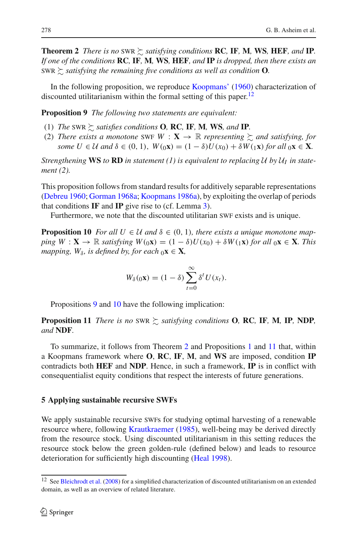**Theorem 2** *There is no* SWR  $\succsim$  *satisfying conditions* **RC***,* **IF***,* **M***,* **WS***,* **HEF***, and* **IP***. If one of the conditions* **RC***,* **IF***,* **M***,* **WS***,* **HEF***, and* **IP** *is dropped, then there exists an* SWR  $\succsim$  satisfying the remaining five conditions as well as condition  $\mathbf{O}$ .

<span id="page-11-2"></span>In the following proposition, we reproduce [Koopmans'](#page-24-3) [\(1960\)](#page-24-3) characterization of discounted utilitarianism within the formal setting of this paper.<sup>[12](#page-11-1)</sup>

**Proposition 9** *The following two statements are equivalent:*

- (1) *The* SWR  $\succsim$  *satisfies conditions* **O***,* **RC***,* **IF***,* **M***,* **WS***, and* **IP***.*
- (2) *There exists a monotone* SWF  $W : \mathbf{X} \to \mathbb{R}$  *representing*  $\succsim$  *and satisfying, for some U*  $\in U$  *and*  $\delta \in (0, 1)$ ,  $W(\delta x) = (1 - \delta)U(x_0) + \delta W(x_0)$  *for all*  $\delta x \in \mathbf{X}$ *.*

*Strengthening* **WS** *to* **RD** *in statement* (1) *is equivalent to replacing U by U<sub>I</sub> in statement (2).*

This proposition follows from standard results for additively separable representations [\(Debreu 1960](#page-24-10); [Gorman 1968a](#page-24-11); [Koopmans 1986a\)](#page-24-12), by exploiting the overlap of periods that conditions **IF** and **IP** give rise to (cf. Lemma [3\)](#page-20-0).

Furthermore, we note that the discounted utilitarian SWF exists and is unique.

<span id="page-11-3"></span>**Proposition 10** *For all*  $U \in \mathcal{U}$  *and*  $\delta \in (0, 1)$ *, there exists a unique monotone mapping*  $W: \mathbf{X} \to \mathbb{R}$  *satisfying*  $W(\mathbf{0}X) = (1 - \delta)U(x_0) + \delta W(x_0)$  *for all*  $\mathbf{0}X \in \mathbf{X}$ *. This mapping,*  $W_{\delta}$ *, is defined by, for each*  ${}_{0}\mathbf{x} \in \mathbf{X}$ *,* 

$$
W_{\delta}(0\mathbf{x}) = (1-\delta) \sum_{t=0}^{\infty} \delta^t U(x_t).
$$

Propositions [9](#page-11-2) and [10](#page-11-3) have the following implication:

<span id="page-11-4"></span>**Proposition 11** *There is no* SWR  $\succsim$  *satisfying conditions* **O**, **RC**, **IF**, **M**, **IP**, **NDP**, *and* **NDF***.*

To summarize, it follows from Theorem [2](#page-10-2) and Propositions [1](#page-5-0) and [11](#page-11-4) that, within a Koopmans framework where **O**, **RC**, **IF**, **M**, and **WS** are imposed, condition **IP** contradicts both **HEF** and **NDP**. Hence, in such a framework, **IP** is in conflict with consequentialist equity conditions that respect the interests of future generations.

#### <span id="page-11-0"></span>**5 Applying sustainable recursive SWFs**

We apply sustainable recursive SWFs for studying optimal harvesting of a renewable resource where, following [Krautkraemer](#page-25-12) [\(1985](#page-25-12)), well-being may be derived directly from the resource stock. Using discounted utilitarianism in this setting reduces the resource stock below the green golden-rule (defined below) and leads to resource deterioration for sufficiently high discounting [\(Heal 1998](#page-24-25)).

<span id="page-11-1"></span><sup>&</sup>lt;sup>12</sup> See [Bleichrodt et al.](#page-24-26) [\(2008](#page-24-26)) for a simplified characterization of discounted utilitarianism on an extended domain, as well as an overview of related literature.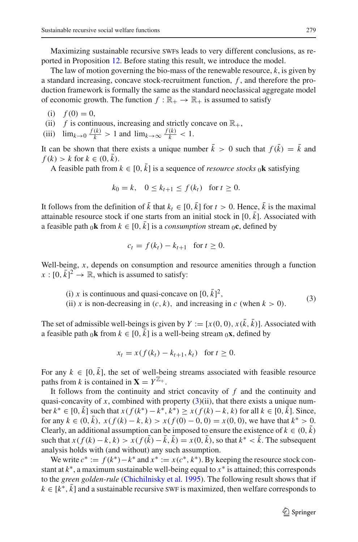Maximizing sustainable recursive swfs leads to very different conclusions, as reported in Proposition [12.](#page-13-2) Before stating this result, we introduce the model.

The law of motion governing the bio-mass of the renewable resource, *k*, is given by a standard increasing, concave stock-recruitment function, *f* , and therefore the production framework is formally the same as the standard neoclassical aggregate model of economic growth. The function  $f : \mathbb{R}_+ \to \mathbb{R}_+$  is assumed to satisfy

(i)  $f(0) = 0$ ,

- (ii) *f* is continuous, increasing and strictly concave on  $\mathbb{R}_+$ ,
- (iii)  $\lim_{k\to 0} \frac{f(k)}{k} > 1$  and  $\lim_{k\to\infty} \frac{f(k)}{k} < 1$ .

It can be shown that there exists a unique number  $\bar{k} > 0$  such that  $f(\bar{k}) = \bar{k}$  and  $f(k) > k$  for  $k \in (0, k)$ .

A feasible path from  $k \in [0, \bar{k}]$  is a sequence of *resource stocks* <sub>0</sub>**k** satisfying

$$
k_0 = k
$$
,  $0 \le k_{t+1} \le f(k_t)$  for  $t \ge 0$ .

It follows from the definition of *k* that  $k_t \in [0, k]$  for  $t > 0$ . Hence, *k* is the maximal attainable resource stock if one starts from an initial stock in  $[0, k]$ . Associated with a feasible path  $_0$ **k** from  $k \in [0, k]$  is a *consumption* stream  $_0$ **c**, defined by

$$
c_t = f(k_t) - k_{t+1} \quad \text{for } t \ge 0.
$$

Well-being, *x*, depends on consumption and resource amenities through a function  $x: [0, \bar{k}]^2 \to \mathbb{R}$ , which is assumed to satisfy:

(i) *x* is continuous and quasi-concave on  $[0, \bar{k}]^2$ ,

(i) *x* is continuous and quasi concave on [0,  $\kappa$ ], (3)<br>(ii) *x* is non-decreasing in  $(c, k)$ , and increasing in *c* (when  $k > 0$ ).

<span id="page-12-0"></span>The set of admissible well-beings is given by  $Y := [x(0, 0), x(\overline{k}, \overline{k})]$ . Associated with a feasible path  $_0$ **k** from  $k \in [0, k]$  is a well-being stream  $_0$ **x**, defined by

$$
x_t = x(f(k_t) - k_{t+1}, k_t) \quad \text{for } t \ge 0.
$$

For any  $k \in [0, \bar{k}]$ , the set of well-being streams associated with feasible resource paths from *k* is contained in  $X = Y^{\mathbb{Z}_+}$ .

It follows from the continuity and strict concavity of *f* and the continuity and quasi-concavity of *x*, combined with property  $(3)(ii)$  $(3)(ii)$ , that there exists a unique num- $\text{ber } k^* \in [0, \bar{k}] \text{ such that } x(f(k^*) - k^*, k^*) \geq x(f(k) - k, k) \text{ for all } k \in [0, \bar{k}]. \text{ Since,}$ for any  $k \in (0, k)$ ,  $x(f(k) - k, k) > x(f(0) - 0, 0) = x(0, 0)$ , we have that  $k^* > 0$ . Clearly, an additional assumption can be imposed to ensure the existence of  $k \in (0, \bar{k})$ such that  $x(f(k) - k, k) > x(f(\bar{k}) - \bar{k}, \bar{k}) = x(0, \bar{k})$ , so that  $k^* < \bar{k}$ . The subsequent analysis holds with (and without) any such assumption.

We write  $c^* := f(k^*) - k^*$  and  $x^* := x(c^*, k^*)$ . By keeping the resource stock constant at  $k^*$ , a maximum sustainable well-being equal to  $x^*$  is attained; this corresponds to the *green golden-rule* [\(Chichilnisky et al. 1995\)](#page-24-27). The following result shows that if  $k \in [k^*, k]$  and a sustainable recursive SWF is maximized, then welfare corresponds to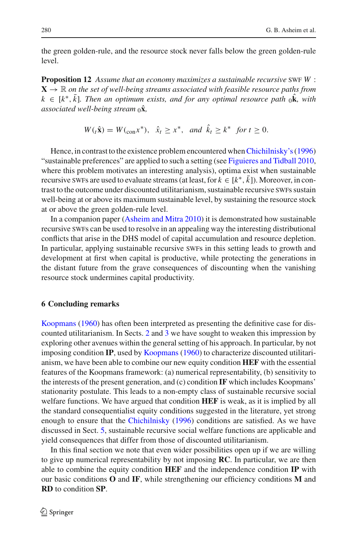<span id="page-13-2"></span>the green golden-rule, and the resource stock never falls below the green golden-rule level.

**Proposition 12** Assume that an economy maximizes a sustainable recursive SWF W:  $\mathbf{X} \to \mathbb{R}$  *on the set of well-being streams associated with feasible resource paths from*  $k \in [k^*, k]$ *. Then an optimum exists, and for any optimal resource path*  $_0$ **k***, with associated well-being stream*  $0\hat{x}$ *,* 

$$
W(_{t}\hat{\mathbf{x}}) = W(_{\text{con}}x^*), \quad \hat{x}_t \ge x^*, \quad \text{and} \quad \hat{k}_t \ge k^* \quad \text{for } t \ge 0.
$$

Hence, in contrast to the existence problem encountered when Chichilnisky's (1996) "sustainable preferences" are applied to such a setting (see [Figuieres and Tidball 2010,](#page-24-28) where this problem motivates an interesting analysis), optima exist when sustainable recursive swFs are used to evaluate streams (at least, for  $k \in [k^*, \overline{k}]$ ). Moreover, in contrast to the outcome under discounted utilitarianism, sustainable recursive SWFs sustain well-being at or above its maximum sustainable level, by sustaining the resource stock at or above the green golden-rule level.

In a companion paper [\(Asheim and Mitra 2010\)](#page-23-0) it is demonstrated how sustainable recursive SWFs can be used to resolve in an appealing way the interesting distributional conflicts that arise in the DHS model of capital accumulation and resource depletion. In particular, applying sustainable recursive SWFs in this setting leads to growth and development at first when capital is productive, while protecting the generations in the distant future from the grave consequences of discounting when the vanishing resource stock undermines capital productivity.

#### <span id="page-13-0"></span>**6 Concluding remarks**

Koopmans [\(1960](#page-24-3)) has often been interpreted as presenting the definitive case for discounted utilitarianism. In Sects. [2](#page-3-0) and [3](#page-6-0) we have sought to weaken this impression by exploring other avenues within the general setting of his approach. In particular, by not imposing condition **IP**, used by [Koopmans](#page-24-3) [\(1960\)](#page-24-3) to characterize discounted utilitarianism, we have been able to combine our new equity condition **HEF** with the essential features of the Koopmans framework: (a) numerical representability, (b) sensitivity to the interests of the present generation, and (c) condition **IF** which includes Koopmans' stationarity postulate. This leads to a non-empty class of sustainable recursive social welfare functions. We have argued that condition **HEF** is weak, as it is implied by all the standard consequentialist equity conditions suggested in the literature, yet strong enough to ensure that the [Chichilnisky](#page-24-9) [\(1996\)](#page-24-9) conditions are satisfied. As we have discussed in Sect. [5,](#page-11-0) sustainable recursive social welfare functions are applicable and yield consequences that differ from those of discounted utilitarianism.

<span id="page-13-1"></span>In this final section we note that even wider possibilities open up if we are willing to give up numerical representability by not imposing **RC**. In particular, we are then able to combine the equity condition **HEF** and the independence condition **IP** with our basic conditions **O** and **IF**, while strengthening our efficiency conditions **M** and **RD** to condition **SP**.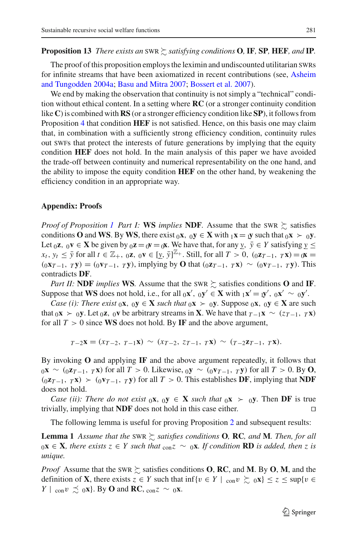## **Proposition 13** *There exists an* SWR  $\succsim$  *satisfying conditions* **O**, **IF**, **SP**, **HEF**, and **IP**.

The proof of this proposition employs the leximin and undiscounted utilitarian swrs for infinite stre[ams](#page-23-5) [that](#page-23-5) [have](#page-23-5) [been](#page-23-5) [axiomatized](#page-23-5) [in](#page-23-5) [recent](#page-23-5) [contributions](#page-23-5) [\(see,](#page-23-5) Asheim and Tungodden [2004a](#page-23-5); [Basu and Mitra 2007](#page-24-29); [Bossert et al. 2007\)](#page-24-19).

We end by making the observation that continuity is not simply a "technical" condition without ethical content. In a setting where **RC** (or a stronger continuity condition like **C**) is combined with **RS** (or a stronger efficiency condition like **SP**), it follows from Proposition [4](#page-8-0) that condition **HEF** is not satisfied. Hence, on this basis one may claim that, in combination with a sufficiently strong efficiency condition, continuity rules out swfs that protect the interests of future generations by implying that the equity condition **HEF** does not hold. In the main analysis of this paper we have avoided the trade-off between continuity and numerical representability on the one hand, and the ability to impose the equity condition **HEF** on the other hand, by weakening the efficiency condition in an appropriate way.

#### **Appendix: Proofs**

*Proof of Proposition [1](#page-5-0) Part I:* WS *implies* NDF. Assume that the SWR  $\succsim$  satisfies conditions **O** and **WS**. By **WS**, there exist  $_0$ **x**,  $_0$ **y**  $\in$  **X** with  $_1$ **x** =  $_1$ **y** such that  $_0$ **x**  $\succ$   $_0$ **y**. Let  $_0$ **z**,  $_0$ **v**  $\in$  **X** be given by  $_0$ **z** =  $_0$ **v** =  $_0$ **x**. We have that, for any *y*,  $\bar{y} \in$  *Y* satisfying *y*  $\leq$  $x_t, y_t \leq \bar{y}$  for all  $t \in \mathbb{Z}_+$ ,  $\delta \mathbf{z}, \delta \mathbf{v} \in [\bar{y}, \bar{y}]^{\mathbb{Z}_+}$ . Still, for all  $T > 0$ ,  $(\delta \mathbf{z}_{T-1}, \bar{y}) = \delta \mathbf{x} = 0$  $(0 \mathbf{x}_{T-1}, T\mathbf{y}) = (0 \mathbf{v}_{T-1}, T\mathbf{y})$ , implying by **O** that  $(0 \mathbf{z}_{T-1}, T\mathbf{x}) \sim (0 \mathbf{v}_{T-1}, T\mathbf{y})$ . This contradicts **DF**.

*Part II:* **NDF** *implies* **WS***.* Assume that the SWR  $\succsim$  satisfies conditions **O** and **IF***.* Suppose that **WS** does not hold, i.e., for all  $_0x'$ ,  $_0y' \in X$  with  $_1x' = _1y'$ ,  $_0x' \sim _0y'$ .

*Case (i): There exist*  $_0$ **x**,  $_0$ **y**  $\in$  **X** *such that*  $_0$ **x**  $\succ$   $_0$ **y***.* Suppose  $_0$ **x**,  $_0$ **y**  $\in$  **X** are such that  $0$ **x** ≻  $0$ **y**. Let  $0$ **z**,  $0$ **v** be arbitrary streams in **X**. We have that  $T-1$ **x** ∼ ( $zT-1$ ,  $T$ **x**) for all  $T > 0$  since **WS** does not hold. By **IF** and the above argument,

$$
T-2X = (x_{T-2}, T-1X) \sim (x_{T-2}, z_{T-1}, TX) \sim (T-2Z_{T-1}, TX).
$$

By invoking **O** and applying **IF** and the above argument repeatedly, it follows that <sup>0</sup>**x** ∼ (0**z***T*−1, *<sup>T</sup>* **x**) for all *T* > 0. Likewise, <sup>0</sup>**y** ∼ (0**v***T*−1, *<sup>T</sup>* **y**) for all *T* > 0. By **O**,  $(0 \mathbf{z}_{T-1}, \tau \mathbf{x}) \succ (0 \mathbf{v}_{T-1}, \tau \mathbf{y})$  for all  $T > 0$ . This establishes DF, implying that **NDF** does not hold.

*Case (ii): There do not exist*  $_0x$ ,  $_0y \in X$  *such that*  $_0x > 0y$ . Then DF is true trivially, implying that **NDF** does not hold in this case either.

The following lemma is useful for proving Proposition [2](#page-6-1) and subsequent results:

<span id="page-14-0"></span>**Lemma 1** *Assume that the* SWR  $\succsim$  *satisfies conditions* **O**, **RC**, and **M***. Then, for all*  $0$ **X** ∈ **X***, there exists*  $z \in Y$  *such that*  $\text{con}z \sim 0$ **X***. If condition* **RD** *is added, then z is unique.*

*Proof* Assume that the SWR  $\succsim$  satisfies conditions **O**, **RC**, and **M**. By **O**, **M**, and the definition of **X**, there exists  $z \in Y$  such that inf $\{v \in Y \mid \text{con } v \succsim v \} \leq 0$   $\leq z \leq \sup\{v \in Y \}$ *Y* | con  $v \approx 0$ **x**. By **O** and **RC**, con  $z \sim 0$ **x**.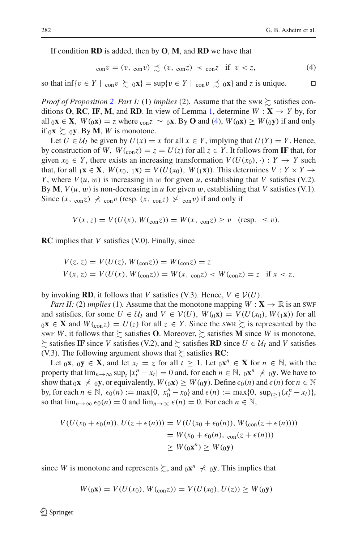If condition **RD** is added, then by **O**, **M**, and **RD** we have that

$$
_{con}v=(v, \text{ }_{con}v)\precsim (v, \text{ }_{con}z)\prec \text{ }_{con}z \text{ if } v < z,
$$
\n
$$
(4)
$$

<span id="page-15-0"></span>so that inf  $\{v \in Y \mid \text{con } v \succsim v \text{ and } v \in Y \mid \text{con } v \precsim v \text{ and } z \text{ is unique.}$ 

*Proof of Proposition [2](#page-6-1) Part I:* (1) *implies* (2). Assume that the SWR  $\succsim$  satisfies conditions **O**, **RC**, **IF**, **M**, and **RD**. In view of Lemma [1,](#page-14-0) determine  $W : \mathbf{X} \to Y$  by, for all  $_0$ **x** ∈ **X**, *W*( $_0$ **x**) = *z* where  $_{con}$   $z$  ∼  $_0$ **x**. By **O** and [\(4\)](#page-15-0), *W*( $_0$ **x**) ≥ *W*( $_0$ **y**) if and only if  ${}_0x \succeq {}_{0}y$ . By **M**, *W* is monotone.

Let  $U \in \mathcal{U}_I$  be given by  $U(x) = x$  for all  $x \in Y$ , implying that  $U(Y) = Y$ . Hence, by construction of *W*,  $W_{\text{(conz)}} = z = U(z)$  for all  $z \in Y$ . It follows from IF that, for given  $x_0 \in Y$ , there exists an increasing transformation  $V(U(x_0), \cdot) : Y \to Y$  such that, for all  $_1$ **x**  $\in$  **X**,  $W(x_0, 1$ **x** $) = V(U(x_0), W(1)$ . This determines  $V: Y \times Y \rightarrow$ *Y*, where  $V(u, w)$  is increasing in w for given *u*, establishing that *V* satisfies (V.2). By  $M$ ,  $V(u, w)$  is non-decreasing in *u* for given *w*, establishing that *V* satisfies (V.1). Since  $(x, \text{con } z) \nless \text{con } v$  (resp.  $(x, \text{con } z) \nless \text{con } v$ ) if and only if

$$
V(x, z) = V(U(x), W_{\text{con}}z)) = W(x, \text{con }z) \ge v \text{ (resp. } \le v),
$$

**RC** implies that *V* satisfies (V.0). Finally, since

$$
V(z, z) = V(U(z), W(c_{on}z)) = W(c_{on}z) = z
$$
  
 
$$
V(x, z) = V(U(x), W(c_{on}z)) = W(x, c_{on}z) < W(c_{on}z) = z \text{ if } x < z,
$$

by invoking **RD**, it follows that *V* satisfies (V.3). Hence,  $V \in V(U)$ .

*Part II:* (2) *implies* (1). Assume that the monotone mapping  $W: \mathbf{X} \to \mathbb{R}$  is an SWF and satisfies, for some  $U \in \mathcal{U}_I$  and  $V \in \mathcal{V}(U)$ ,  $W({}_0\mathbf{x}) = V(U(x_0), W({}_1\mathbf{x}))$  for all  $0$ **X** ∈ **X** and  $W$ (con*z*) =  $U(z)$  for all  $z \in Y$ . Since the swr  $\succeq$  is represented by the SWF W, it follows that  $\succsim$  satisfies **O**. Moreover,  $\succsim$  satisfies **M** since *W* is monotone,  $\geq$  satisfies **IF** since *V* satisfies (V.2), and  $\geq$  satisfies **RD** since  $U \in U_I$  and *V* satisfies (V.3). The following argument shows that  $\succsim$  satisfies **RC**:

Let  $_0$ **x**,  $_0$ **y**  $\in$  **X**, and let  $x_t = z$  for all  $t \ge 1$ . Let  $_0$ **x**<sup>*n*</sup>  $\in$  **X** for  $n \in \mathbb{N}$ , with the property that  $\lim_{n\to\infty} \sup_t |x_t^n - x_t| = 0$  and, for each  $n \in \mathbb{N}$ ,  $\delta x^n \nless 0$ y. We have to show that  ${}_0\mathbf{x} \not\prec {}_0\mathbf{y}$ , or equivalently,  $W({}_0\mathbf{x}) \geq W({}_0\mathbf{y})$ . Define  $\epsilon_0(n)$  and  $\epsilon(n)$  for  $n \in \mathbb{N}$ by, for each *n* ∈ ℕ,  $\epsilon_0(n) := \max\{0, x_0^n - x_0\}$  and  $\epsilon(n) := \max\{0, \sup_{t \ge 1}(x_t^n - x_t)\},$ so that  $\lim_{n\to\infty} \epsilon_0(n) = 0$  and  $\lim_{n\to\infty} \epsilon(n) = 0$ . For each  $n \in \mathbb{N}$ ,

$$
V(U(x_0 + \epsilon_0(n)), U(z + \epsilon(n))) = V(U(x_0 + \epsilon_0(n)), W(\text{con}(z + \epsilon(n))))
$$
  
=  $W(x_0 + \epsilon_0(n), \text{con}(z + \epsilon(n)))$   
 $\geq W(\text{o} \mathbf{x}^n) \geq W(\text{o} \mathbf{y})$ 

since *W* is monotone and represents  $\succsim$ , and  $_0\mathbf{x}^n \not\prec 0\mathbf{y}$ . This implies that

$$
W(0X) = V(U(x_0), W(c_{0n}z)) = V(U(x_0), U(z)) \ge W(0Y)
$$

 $\mathcal{L}$  Springer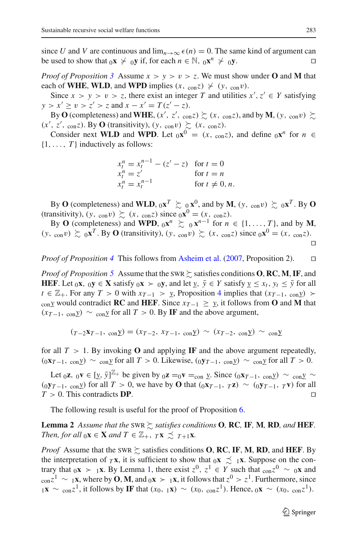since *U* and *V* are continuous and  $\lim_{n\to\infty} \epsilon(n) = 0$ . The same kind of argument can be used to show that  $_0$ **x**  $\neq$   $_0$ **v** if, for each *n* ∈ N,  $_0$ **x**<sup>*n*</sup>  $\neq$   $_0$ **v**. □

*Proof of Proposition* [3](#page-7-2) Assume  $x > y > v > z$ . We must show under **O** and **M** that each of **WHE**, **WLD**, and **WPD** implies  $(x, \text{con } z) \neq (y, \text{con } v)$ .

Since  $x > y > v > z$ , there exist an integer *T* and utilities  $x', z' \in Y$  satisfying  $y > x' \ge v > z' > z$  and  $x - x' = T(z' - z)$ .

By **O** (completeness) and **WHE**,  $(x', z', \text{con } z) \succsim (x, \text{con } z)$ , and by **M**,  $(y, \text{con } v) \succsim$  $(x', z', \text{con } z)$ . By **O** (transitivity),  $(y, \text{con } v) \geq (x, \text{con } z)$ .

Consider next **WLD** and **WPD**. Let  $_0\mathbf{x}^0 = (x, \text{conz})$ , and define  $_0\mathbf{x}^n$  for  $n \in$  $\{1, \ldots, T\}$  inductively as follows:

$$
x_t^n = x_t^{n-1} - (z' - z)
$$
 for  $t = 0$   
\n
$$
x_t^n = z'
$$
 for  $t = n$   
\n
$$
x_t^n = x_t^{n-1}
$$
 for  $t \neq 0, n$ .

By **O** (completeness) and **WLD**,  $_{0}\mathbf{x}^{T} \succsim_{0}\mathbf{x}^{0}$ , and by **M**,  $(y, \text{ con } v) \succsim_{0}\mathbf{x}^{T}$ . By **O** (transitivity),  $(y, \text{con } v) \succeq (x, \text{con } z)$  since  $0\mathbf{x}^0 = (x, \text{con } z)$ .

By **O** (completeness) and **WPD**,  ${}_{0}\mathbf{x}^{n} \geq {}_{0}\mathbf{x}^{n-1}$  for  $n \in \{1, ..., T\}$ , and by **M**,  $(y, \text{con } v) \geq 0$ **x**<sup>*T*</sup>. By **O** (transitivity),  $(y, \text{con } v) \geq (x, \text{con } z)$  since  $0$ **x**<sup>0</sup> = (*x*, con*z*).  $\Box$ 

*Proof of Proposition* [4](#page-8-0) This follows from [Asheim et al.](#page-23-2) [\(2007,](#page-23-2) Proposition 2). □

*Proof of Proposition* [5](#page-8-4) Assume that the SWR  $\succsim$  satisfies conditions **O**, **RC**, **M**, **IF**, and **HEF**. Let  $_0$ **x**,  $_0$ **y**  $\in$  **X** satisfy  $_0$ **x**  $\succ$   $_0$ **y**, and let *y*,  $\bar{y} \in Y$  satisfy  $y \leq x_t$ ,  $y_t \leq \bar{y}$  for all *t* ∈  $\mathbb{Z}_+$ . For any *T* > 0 with  $x_{T-1}$  > *y*, Proposition [4](#page-8-0) implies that  $(x_{T-1}, \text{con} y)$  > con<sup>*y*</sup> would contradict **RC** and **HEF**. Since  $x_{T-1} \geq y$ , it follows from **O** and **M** that  $(x_{T-1}, \text{con}y) \sim \text{con}y$  for all  $T > 0$ . By IF and the above argument,

$$
(T-2XT-1, \text{con } y) = (xT-2, xT-1, \text{con } y) \sim (xT-2, \text{con } y) \sim \text{con } y
$$

for all  $T > 1$ . By invoking **O** and applying **IF** and the above argument repeatedly,  $(0 \times T - 1, \text{con} y) \sim \text{con} y$  for all  $T > 0$ . Likewise,  $(0 \times T - 1, \text{con} y) \sim \text{con} y$  for all  $T > 0$ .

Let  $_0$ **z**,  $_0$ **v** ∈ [*y*,  $\bar{y}$ ]<sup>Z<sub>+</sub></sup> be given by  $_0$ **z** = $_0$ **v** = $_{con}$  *y*. Since  $(_0$ **x**<sub>*T*−1</sub>,  $_{con}$ *y*  $\sim$   $_{con}$ *y*  $\sim$  $(0\mathbf{y}_{T-1}, \text{cony})$  for all  $T > 0$ , we have by **O** that  $(0\mathbf{x}_{T-1}, T\mathbf{z}) \sim (0\mathbf{y}_{T-1}, T\mathbf{v})$  for all  $T > 0$ . This contradicts **DP**.

The following result is useful for the proof of Proposition [6.](#page-8-2)

<span id="page-16-0"></span>**Lemma 2** Assume that the SWR  $\succsim$  satisfies conditions **O**, **RC**, **IF**, **M**, **RD**, and **HEF**. *Then, for all*  ${}_{0}\mathbf{x} \in \mathbf{X}$  *and*  $T \in \mathbb{Z}_{+}$ ,  ${}_{T}\mathbf{x} \precsim {}_{T+1}\mathbf{x}$ *.* 

*Proof* Assume that the SWR  $\succsim$  satisfies conditions **O**, **RC**, **IF**, **M**, **RD**, and **HEF**. By the interpretation of  $TX$ , it is sufficient to show that  $0X \preceq 1X$ . Suppose on the contrary that  $0$ **x**  $\rightarrow$  1**x**. By Lemma [1,](#page-14-0) there exist  $z^0$ ,  $z^1 \in Y$  such that  $\cos z^0 \sim 0$ **x** and  $\cos z^{1}$  ∼ 1**x**, where by **O**, **M**, and  $\cos z$  1**x**, it follows that  $z^{0} > z^{1}$ . Furthermore, since 1**x** ∼ con $z^1$ , it follows by **IF** that  $(x_0, 1\mathbf{x}) \sim (x_0, \text{con } z^1)$ . Hence,  $0\mathbf{x} \sim (x_0, \text{con } z^1)$ .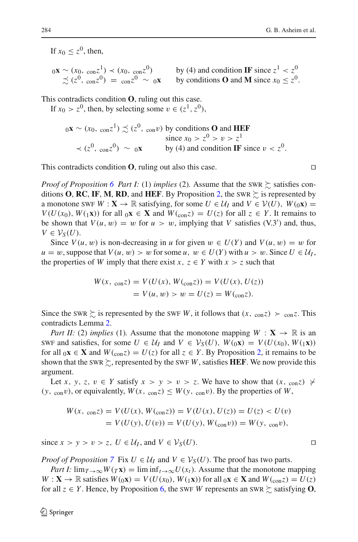If  $x_0 \leq z^0$ , then,

<sup>0</sup>**x** ∼ (*x*0, con*z*1) ≺ (*x*0, con*z*0) by (4) and condition **IF** since *z*<sup>1</sup> < *z*<sup>0</sup> (*z*0, con*z*0) = con*z*<sup>0</sup> ∼ <sup>0</sup>**x** by conditions **O** and **M** since *x*<sup>0</sup> ≤ *z*0.

This contradicts condition **O**, ruling out this case.

If  $x_0 > z^0$ , then, by selecting some  $v \in (z^1, z^0)$ ,

<sup>0</sup>**x** ∼ (*x*0, con*z*1) (*z*0, conv) by conditions **O** and **HEF** since *x*<sup>0</sup> > *z*<sup>0</sup> >v> *z*<sup>1</sup> ≺ (*z*0, con*z*0) ∼ <sup>0</sup>**x** by (4) and condition **IF** since v < *z*0.

This contradicts condition **O**, ruling out also this case.

*Proof of Proposition* [6](#page-8-2) *Part I:* (1) *implies* (2). Assume that the SWR  $\succsim$  satisfies conditions **O**, **RC**, **IF**, **M**, **RD**, and **HEF**. By Proposition [2,](#page-6-1) the SWR  $\succsim$  is represented by a monotone SWF  $W : \mathbf{X} \to \mathbb{R}$  satisfying, for some  $U \in \mathcal{U}_I$  and  $V \in \mathcal{V}(U)$ ,  $W(\omega \mathbf{x}) =$ *V*(*U*(*x*<sub>0</sub>), *W*(<sub>1</sub>**x**)) for all <sub>0</sub>**x** ∈ **X** and *W*(<sub>con</sub>*z*) = *U*(*z*) for all *z* ∈ *Y*. It remains to be shown that  $V(u, w) = w$  for  $u > w$ , implying that *V* satisfies (V.3') and, thus,  $V \in \mathcal{V}_S(U)$ .

Since  $V(u, w)$  is non-decreasing in *u* for given  $w \in U(Y)$  and  $V(u, w) = w$  for  $u = w$ , suppose that  $V(u, w) > w$  for some  $u, w \in U(Y)$  with  $u > w$ . Since  $U \in U_I$ , the properties of *W* imply that there exist *x*,  $z \in Y$  with  $x > z$  such that

$$
W(x, \text{ con } z) = V(U(x), W(\text{con } z)) = V(U(x), U(z))
$$
  
=  $V(u, w) > w = U(z) = W(\text{con } z).$ 

Since the swr  $\geq$  is represented by the swf *W*, it follows that  $(x, \text{conz}) > \text{conz}$ . This contradicts Lemma [2.](#page-16-0)

*Part II:* (2) *implies* (1). Assume that the monotone mapping  $W : \mathbf{X} \to \mathbb{R}$  is an swf and satisfies, for some  $U \in \mathcal{U}_I$  and  $V \in \mathcal{V}_S(U)$ ,  $W(\mathfrak{g}_\mathbf{X}) = V(U(x_0), W(\mathfrak{g}_\mathbf{X}))$ for all  ${}_0\mathbf{x} \in \mathbf{X}$  and  $W({}_{conz}) = U(z)$  for all  $z \in Y$ . By Proposition [2,](#page-6-1) it remains to be shown that the SWR  $\succsim$ , represented by the SWF W, satisfies **HEF**. We now provide this argument.

Let *x*, *y*, *z*,  $v \in Y$  satisfy  $x > y > v > z$ . We have to show that  $(x, \text{conz}) \not\equiv$  $(y, \text{con } v)$ , or equivalently,  $W(x, \text{con } z) \leq W(y, \text{con } v)$ . By the properties of *W*,

$$
W(x, \text{ con } z) = V(U(x), W(\text{con } z)) = V(U(x), U(z)) = U(z) < U(v)
$$
\n
$$
= V(U(y), U(v)) = V(U(y), W(\text{con } v)) = W(y, \text{ con } v),
$$

since  $x > y > v > z$ ,  $U \in \mathcal{U}_I$ , and  $V \in \mathcal{V}_S(U)$ .

*Proof of Proposition* [7](#page-8-3) Fix  $U \in \mathcal{U}_I$  and  $V \in \mathcal{V}_S(U)$ . The proof has two parts.

*Part I:*  $\lim_{T\to\infty} W(TX) = \liminf_{t\to\infty} U(x_t)$ . Assume that the monotone mapping  $W: \mathbf{X} \to \mathbb{R}$  satisfies  $W(\mathbf{0} \mathbf{x}) = V(U(x_0), W(\mathbf{1} \mathbf{x}))$  for all  $\mathbf{0} \mathbf{x} \in \mathbf{X}$  and  $W(\mathbf{0} \mathbf{x}) = U(z)$ for all  $z \in Y$ . Hence, by Proposition [6,](#page-8-2) the SWF *W* represents an SWR  $\succeq$  satisfying **O**,

$$
\Box
$$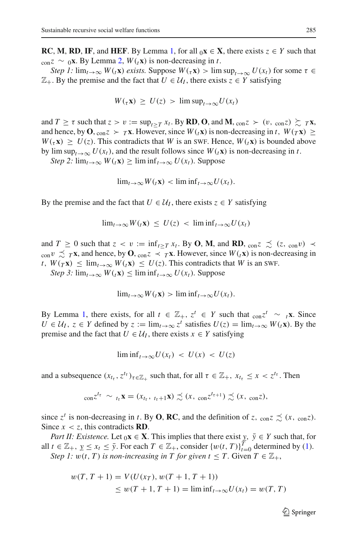**RC**, **M**, **RD**, **IF**, and **HEF**. By Lemma [1,](#page-14-0) for all  $_0$ **x**  $\in$  **X**, there exists  $z \in Y$  such that  $\cos z \sim 0$ **x**. By Lemma [2,](#page-16-0)  $W(tX)$  is non-decreasing in *t*.

*Step 1:*  $\lim_{t\to\infty} W(t\mathbf{x})$  *exists.* Suppose  $W(\tau\mathbf{x}) > \lim_{t\to\infty} U(x_t)$  for some  $\tau \in$  $\mathbb{Z}_+$ . By the premise and the fact that  $U \in \mathcal{U}_I$ , there exists  $z \in Y$  satisfying

$$
W(_{\tau}\mathbf{x}) \ge U(z) > \limsup_{t\to\infty} U(x_t)
$$

and  $T \ge \tau$  such that  $z > v := \sup_{t \ge T} x_t$ . By **RD**, **O**, and **M**,  $\text{con } z > (v, \text{con } z) \ge T$ **x**, and hence, by  $\mathbf{O}$ ,  $_{\text{con}}z \succ \tau \mathbf{x}$ . However, since  $W(t\mathbf{x})$  is non-decreasing in *t*,  $W(\tau \mathbf{x}) \geq$  $W(\tau \mathbf{x}) \geq U(z)$ . This contradicts that *W* is an SWF. Hence,  $W(\tau \mathbf{x})$  is bounded above by lim  $\sup_{t\to\infty} U(x_t)$ , and the result follows since  $W(r\mathbf{x})$  is non-decreasing in *t*.

*Step 2:*  $\lim_{t\to\infty} W(t\mathbf{x}) \geq \liminf_{t\to\infty} U(x_t)$ . Suppose

$$
\lim_{t\to\infty}W(t\mathbf{x}) < \liminf_{t\to\infty}U(x_t).
$$

By the premise and the fact that  $U \in \mathcal{U}_I$ , there exists  $z \in Y$  satisfying

$$
\lim_{t\to\infty}W(t\mathbf{x})\,\leq\,U(z)\,<\,\liminf_{t\to\infty}U(x_t)
$$

and  $T \ge 0$  such that  $z < v := \inf_{t \ge T} x_t$ . By **O**, **M**, and **RD**,  $\cos z \precsim (z, \cos v)$  $\cos v \precsim T$ **x**, and hence, by **O**,  $\cos z \prec T$ **x**. However, since  $W(rx)$  is non-decreasing in  $t$ ,  $W(\tau \mathbf{x}) \leq \lim_{t \to \infty} W(\tau \mathbf{x}) \leq U(\tau)$ . This contradicts that *W* is an SWF.

*Step 3:*  $\lim_{t\to\infty} W(tX) \leq \liminf_{t\to\infty} U(x_t)$ . Suppose

$$
\lim_{t\to\infty}W(t\mathbf{x})>\liminf_{t\to\infty}U(x_t).
$$

By Lemma [1,](#page-14-0) there exists, for all  $t \in \mathbb{Z}_+$ ,  $z^t \in Y$  such that  $\text{con } z^t \sim t$ **x**. Since *U* ∈  $U$ *I*, *z* ∈ *Y* defined by *z* := lim<sub>*t*→∞</sub> *z*<sup>*t*</sup> satisfies  $U(z) = \lim_{t\to\infty} W(tx)$ . By the premise and the fact that  $U \in \mathcal{U}_I$ , there exists  $x \in Y$  satisfying

$$
\liminf_{t\to\infty}U(x_t) < U(x) < U(z)
$$

and a subsequence  $(x_{t_\tau}, z^{t_\tau})_{\tau \in \mathbb{Z}_+}$  such that, for all  $\tau \in \mathbb{Z}_+$ ,  $x_{t_\tau} \leq x < z^{t_\tau}$ . Then

$$
\operatorname{con}^{\mathcal{I}^{t_{\tau}}}\n\sim t_{\tau}\mathbf{x}=(x_{t_{\tau}},\ t_{\tau}+1\mathbf{x})\precsim (x,\ \operatorname{con}^{\mathcal{I}^{t_{\tau+1}}})\precsim (x,\ \operatorname{con} z),
$$

since  $z^t$  is non-decreasing in t. By **O**, **RC**, and the definition of  $z$ ,  $\cos z \precsim (x, \cos z)$ . Since  $x < z$ , this contradicts **RD**.

*Part II: Existence.* Let  ${}_{0}x \in X$ . This implies that there exist *y*,  $\bar{y} \in Y$  such that, for all  $t \in \mathbb{Z}_+$ ,  $y \le x_t \le \bar{y}$ . For each  $T \in \mathbb{Z}_+$ , consider  $\{w(t, T)\}_{t=0}^T$  determined by [\(1\)](#page-9-3).

*Step 1:*  $w(t, T)$  *is non-increasing in T* for given  $t \leq T$ . Given  $T \in \mathbb{Z}_+$ ,

$$
w(T, T + 1) = V(U(x_T), w(T + 1, T + 1))
$$
  
\n
$$
\leq w(T + 1, T + 1) = \liminf_{t \to \infty} U(x_t) = w(T, T)
$$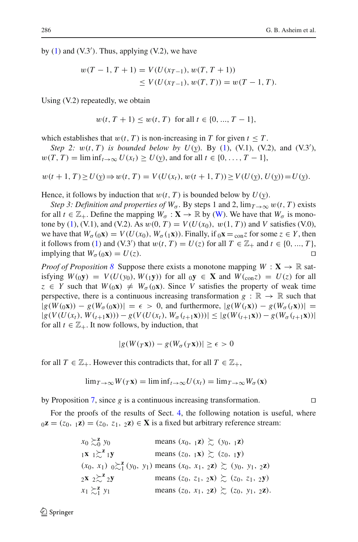by  $(1)$  and  $(V.3')$ . Thus, applying  $(V.2)$ , we have

$$
w(T-1, T+1) = V(U(x_{T-1}), w(T, T+1))
$$
  
\n
$$
\leq V(U(x_{T-1}), w(T, T)) = w(T-1, T).
$$

Using (V.2) repeatedly, we obtain

$$
w(t, T + 1) \le w(t, T) \text{ for all } t \in \{0, ..., T - 1\},
$$

which establishes that  $w(t, T)$  is non-increasing in *T* for given  $t \leq T$ .

*Step 2:*  $w(t, T)$  *is bounded below by U(y).* By [\(1\)](#page-9-3), (V.1), (V.2), and (V.3'),  $w(T, T) = \liminf_{t \to \infty} U(x_t) \ge U(y)$ , and for all  $t \in \{0, ..., T - 1\}$ ,

$$
w(t + 1, T) \ge U(y) \Rightarrow w(t, T) = V(U(x_t), w(t + 1, T)) \ge V(U(y), U(y)) = U(y).
$$

Hence, it follows by induction that  $w(t, T)$  is bounded below by  $U(y)$ .

*Step 3: Definition and properties of*  $W_{\sigma}$ . By steps 1 and 2,  $\lim_{T\to\infty} w(t, T)$  exists for all  $t \in \mathbb{Z}_+$ . Define the mapping  $W_{\sigma} : \mathbf{X} \to \mathbb{R}$  by [\(W\)](#page-9-0). We have that  $W_{\sigma}$  is mono-tone by [\(1\)](#page-9-3), (V.1), and (V.2). As  $w(0, T) = V(U(x_0), w(1, T))$  and *V* satisfies (V.0), we have that  $W_{\sigma}(\mathbf{0}x) = V(U(x_0), W_{\sigma}(1x))$ . Finally, if  $\mathbf{0}x = \text{const}$  for some  $z \in Y$ , then it follows from [\(1\)](#page-9-3) and (V.3') that  $w(t, T) = U(z)$  for all  $T \in \mathbb{Z}_+$  and  $t \in \{0, ..., T\}$ , implying that  $W_{\sigma}(0\mathbf{x}) = U(z)$ .

*Proof of Proposition* [8](#page-9-4) Suppose there exists a monotone mapping  $W : \mathbf{X} \to \mathbb{R}$  satisfying  $W(0, y) = V(U(y_0), W(y_0))$  for all  $0y \in X$  and  $W(c_{0n}z) = U(z)$  for all  $z \in Y$  such that  $W(\mathbf{0} \mathbf{x}) \neq W_{\sigma}(\mathbf{0} \mathbf{x})$ . Since *V* satisfies the property of weak time perspective, there is a continuous increasing transformation  $g : \mathbb{R} \to \mathbb{R}$  such that  $|g(W(\mathbf{0} \mathbf{x})) - g(W(\mathbf{0} \mathbf{x}))| = \epsilon > 0$ , and furthermore,  $|g(W(\mathbf{0} \mathbf{x})) - g(W(\mathbf{0} \mathbf{x}))| = 0$  $|g(V(U(x_t), W_{t+1}\mathbf{x}))) - g(V(U(x_t), W_{\sigma}(t+1\mathbf{x})))| \leq |g(W_{t+1}\mathbf{x})) - g(W_{\sigma}(t+1\mathbf{x}))|$ for all  $t \in \mathbb{Z}_+$ . It now follows, by induction, that

$$
|g(W(\mathbf{TX})) - g(W_{\sigma}(\mathbf{TX}))| \ge \epsilon > 0
$$

for all  $T \in \mathbb{Z}_+$ . However this contradicts that, for all  $T \in \mathbb{Z}_+$ ,

$$
\lim_{T \to \infty} W(\tau \mathbf{x}) = \liminf_{t \to \infty} U(x_t) = \lim_{T \to \infty} W_{\sigma}(\mathbf{x})
$$

by Proposition [7,](#page-8-3) since *g* is a continuous increasing transformation.

For the proofs of the results of Sect. [4,](#page-10-0) the following notation is useful, where  $0$ **z** = ( $z_0$ ,  $1$ **z**) = ( $z_0$ ,  $z_1$ ,  $z_2$ **)**  $\in$  **X** is a fixed but arbitrary reference stream:

| $x_0 \gtrsim_0^z y_0$                                                                     | means $(x_0, 1z) \gtrsim (y_0, 1z)$             |
|-------------------------------------------------------------------------------------------|-------------------------------------------------|
| $1X \quad 1 \gtrsim^z 1Y$                                                                 | means $(z_0, 1X) \gtrsim (z_0, 1Y)$             |
| $(x_0, x_1) \quad 0 \gtrsim_1^z (y_0, y_1)$ means $(x_0, x_1, 2z) \gtrsim (y_0, y_1, 2z)$ |                                                 |
| $2X \quad 2 \gtrsim^z 2Y$                                                                 | means $(z_0, z_1, 2X) \gtrsim (z_0, z_1, 2Y)$   |
| $x_1 \gtrsim_1^z y_1$                                                                     | means $(z_0, x_1, 2z) \gtrsim (z_0, y_1, 2z)$ . |

 $\textcircled{2}$  Springer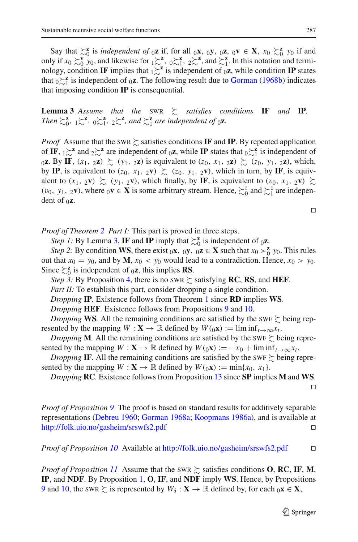Say that  $\sum_{i=0}^{n}$  is *independent of* 0**z** if, for all 0**x**, 0**y**, 0**z**, 0**v**  $\in$  **X**, *x*<sub>0</sub>  $\sum_{i=0}^{n}$  *y*<sub>0</sub> if and only if  $x_0 \geq v$   $y_0$ , and likewise for  $1 \geq v$ ,  $0 \geq 1$ ,  $2 \geq v$ , and  $\geq 1$ . In this notation and terminology, condition **IF** implies that  $\chi \gtrsim^{\mathbf{z}}$  is independent of  $_0\mathbf{z}$ , while condition **IP** states that  $0 \geq 7$  is independent of  $0$ **z**. The following result due to [Gorman](#page-24-30) [\(1968b\)](#page-24-30) indicates that imposing condition **IP** is consequential.

<span id="page-20-0"></span>**Lemma 3** Assume that the SWR  $\geq$  satisfies conditions **IF** and **IP**. *Then*  $\succsim$ <sup>*Z*</sup><sub>0</sub>,  $\underset{\sim}{\succ}$ <sup>*Z*</sup><sub>1</sub>,  $\underset{\sim}{\succ}$ <sup>*Z*</sup><sub>2</sub>, and  $\succsim$ <sup>*Z*</sup><sub>1</sub> are independent of <sub>0</sub>**z**.

*Proof* Assume that the SWR  $\succsim$  satisfies conditions **IF** and **IP**. By repeated application of IF,  $1 \gtrsim^{\mathbf{z}}$  and  $2 \gtrsim^{\mathbf{z}}$  are independent of  $_0\mathbf{z}$ , while IP states that  $_0 \gtrsim^{\mathbf{z}}_1$  is independent of  $_0$ **z**. By IF,  $(x_1, 2z) \succeq (y_1, 2z)$  is equivalent to  $(z_0, x_1, 2z) \succeq (z_0, y_1, 2z)$ , which, by **IP**, is equivalent to  $(z_0, x_1, 2^{\mathbf{v}}) \geq (z_0, y_1, 2^{\mathbf{v}})$ , which in turn, by **IF**, is equivalent to  $(x_1, 2v) \ge (y_1, 2v)$ , which finally, by IF, is equivalent to  $(v_0, x_1, 2v) \ge$ (*v*<sub>0</sub>, *y*<sub>1</sub>, *z***v**), where  ${}_{0}\mathbf{v} \in \mathbf{X}$  is some arbitrary stream. Hence,  $\sum_{0}^{z}$  and  $\sum_{1}^{z}$  are independent of  $_0$ **z**.

*Proof of Theorem [2](#page-10-2) Part I:* This part is proved in three steps.

*Step 1:* By Lemma [3,](#page-20-0) **IF** and **IP** imply that  $\succsim_0^z$  is independent of  $_0z$ .

*Step 2:* By condition **WS**, there exist  $_0$ **x**,  $_0$ **y**,  $_0$ **z**  $\in$  **X** such that  $x_0 \succ_0^{\mathbf{z}} y_0$ . This rules out that  $x_0 = y_0$ , and by **M**,  $x_0 < y_0$  would lead to a contradiction. Hence,  $x_0 > y_0$ . Since  $\succsim_0^{\mathbf{z}}$  is independent of <sub>0</sub>**z**, this implies **RS**.

*Step 3:* By Proposition [4,](#page-8-0) there is no SWR  $\geq$  satisfying **RC**, **RS**, and **HEF**.

*Part II:* To establish this part, consider dropping a single condition.

*Dropping* **IP***.* Existence follows from Theorem [1](#page-9-5) since **RD** implies **WS**.

*Dropping* **HEF***.* Existence follows from Propositions [9](#page-11-2) and [10.](#page-11-3)

*Dropping* **WS**. All the remaining conditions are satisfied by the SWF  $\succsim$  being represented by the mapping  $W : \mathbf{X} \to \mathbb{R}$  defined by  $W({}_{0}\mathbf{X}) := \liminf_{t \to \infty} x_t$ .

*Dropping* **M***.* All the remaining conditions are satisfied by the SWF  $\succsim$  being represented by the mapping  $W : \mathbf{X} \to \mathbb{R}$  defined by  $W(j\mathbf{X}) := -x_0 + \liminf_{t \to \infty} x_t$ .

*Dropping* IF. All the remaining conditions are satisfied by the SWF  $\succsim$  being represented by the mapping  $W : \mathbf{X} \to \mathbb{R}$  defined by  $W({0}x) := min\{x_0, x_1\}.$ 

*Dropping* **RC***.* Existence follows from Proposition [13](#page-13-1) since **SP** implies **M** and **WS**.  $\Box$ 

*Proof of Proposition* [9](#page-11-2) The proof is based on standard results for additively separable representations [\(Debreu 1960;](#page-24-10) [Gorman 1968a](#page-24-11); [Koopmans 1986a](#page-24-12)), and is available at <http://folk.uio.no/gasheim/srswfs2.pdf>

*Proof of Proposition [10](#page-11-3)* Available at <http://folk.uio.no/gasheim/srswfs2.pdf>

*Proof of Proposition* [11](#page-11-4) Assume that the SWR  $\succsim$  satisfies conditions **O**, **RC**, **IF**, **M**, **IP**, and **NDF**. By Proposition [1,](#page-5-0) **O**, **IF**, and **NDF** imply **WS**. Hence, by Propositions [9](#page-11-2) and [10,](#page-11-3) the SWR  $\succsim$  is represented by  $W_\delta : \mathbf{X} \to \mathbb{R}$  defined by, for each  $_0\mathbf{x} \in \mathbf{X}$ ,

 $\Box$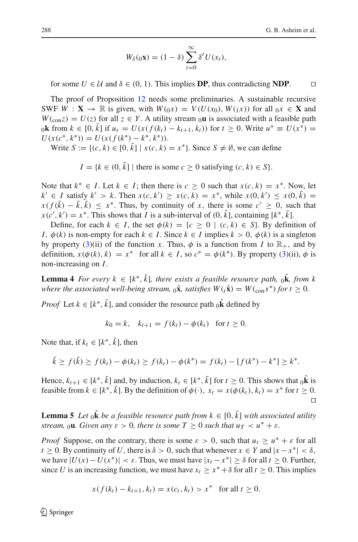$$
W_{\delta}(0\mathbf{x}) = (1-\delta) \sum_{t=0}^{\infty} \delta^t U(x_t),
$$

for some  $U \in \mathcal{U}$  and  $\delta \in (0, 1)$ . This implies **DP**, thus contradicting **NDP**.

The proof of Proposition [12](#page-13-2) needs some preliminaries. A sustainable recursive SWF  $W: \mathbf{X} \to \mathbb{R}$  is given, with  $W(\rho x) = V(U(x_0), W(x_1))$  for all  $\rho x \in \mathbf{X}$  and  $W(c_{on}z) = U(z)$  for all  $z \in Y$ . A utility stream <sub>0</sub>**u** is associated with a feasible path  $0 \text{ k from } k \in [0, \bar{k}] \text{ if } u_t = U(x(f(k_t) - k_{t+1}, k_t)) \text{ for } t \geq 0. \text{ Write } u^* \equiv U(x^*) = 0.$  $U(x(c^*, k^*)) = U(x(f(k^*) - k^*, k^*)).$ 

Write  $S := \{(c, k) \in [0, k] \mid x(c, k) = x^*\}$ . Since  $S \neq \emptyset$ , we can define

$$
I = \{k \in (0, \bar{k}] \mid \text{there is some } c \ge 0 \text{ satisfying } (c, k) \in S\}.
$$

Note that  $k^* \in I$ . Let  $k \in I$ ; then there is  $c \ge 0$  such that  $x(c, k) = x^*$ . Now, let  $k' \in I$  satisfy  $k' > k$ . Then  $x(c, k') \ge x(c, k) = x^*$ , while  $x(0, k') \le x(0, \bar{k}) =$  $x(f(\bar{k}) - \bar{k}, \bar{k}) \leq x^*$ . Thus, by continuity of *x*, there is some  $c' \geq 0$ , such that  $x(c', k') = x^*$ . This shows that *I* is a sub-interval of  $(0, \bar{k}]$ , containing  $[k^*, \bar{k}]$ .

Define, for each  $k \in I$ , the set  $\phi(k) = \{c > 0 \mid (c, k) \in S\}$ . By definition of *I*,  $\phi(k)$  is non-empty for each  $k \in I$ . Since  $k \in I$  implies  $k > 0$ ,  $\phi(k)$  is a singleton by property [\(3\)](#page-12-0)(ii) of the function *x*. Thus,  $\phi$  is a function from *I* to  $\mathbb{R}_+$ , and by definition,  $x(\phi(k), k) = x^*$  for all  $k \in I$ , so  $c^* = \phi(k^*)$ . By property [\(3\)](#page-12-0)(ii),  $\phi$  is non-increasing on *I*.

<span id="page-21-1"></span>**Lemma 4** *For every*  $k \in [k^*, \bar{k}]$ *, there exists a feasible resource path,*  $0\hat{k}$ *, from k where the associated well-being stream,*  $\theta \hat{\mathbf{x}}$ *, satisfies*  $W(\hat{\mathbf{x}}) = W(\cos x^*)$  *for*  $t \ge 0$ *.* 

*Proof* Let  $k \in [k^*, \overline{k}]$ , and consider the resource path  $0\hat{k}$  defined by

$$
k_0 = k
$$
,  $k_{t+1} = f(k_t) - \phi(k_t)$  for  $t \ge 0$ .

Note that, if  $k_t \in [k^*, \overline{k}]$ , then

$$
\bar{k} \ge f(\bar{k}) \ge f(k_t) - \phi(k_t) \ge f(k_t) - \phi(k^*) = f(k_t) - [f(k^*) - k^*] \ge k^*.
$$

Hence,  $k_{t+1} \in [k^*, \bar{k}]$  and, by induction,  $k_t \in [k^*, \bar{k}]$  for  $t \ge 0$ . This shows that  $0\hat{k}$  is feasible from  $k \in [k^*, \bar{k}]$ . By the definition of  $\phi(\cdot)$ ,  $x_t = x(\phi(k_t), k_t) = x^*$  for  $t \ge 0$ .  $\Box$ 

<span id="page-21-0"></span>**Lemma 5** Let  $_0$ **k** *be a feasible resource path from*  $k \in [0, k]$  *with associated utility stream,*  $_0$ **u***. Given any*  $\varepsilon > 0$ *, there is some*  $T \ge 0$  *such that*  $u_T < u^* + \varepsilon$ *.* 

*Proof* Suppose, on the contrary, there is some  $\varepsilon > 0$ , such that  $u_t > u^* + \varepsilon$  for all  $t \geq 0$ . By continuity of *U*, there is  $\delta > 0$ , such that whenever  $x \in Y$  and  $|x - x^*| < \delta$ , we have  $|U(x) - U(x^*)| < \varepsilon$ . Thus, we must have  $|x_t - x^*| > \delta$  for all  $t > 0$ . Further, since *U* is an increasing function, we must have  $x_t \geq x^* + \delta$  for all  $t \geq 0$ . This implies

$$
x(f(k_t) - k_{t+1}, k_t) = x(c_t, k_t) > x^*
$$
 for all  $t \ge 0$ .

 $\textcircled{2}$  Springer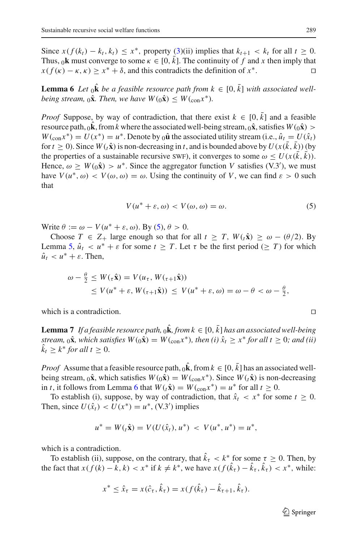Since  $x(f(k_t) - k_t, k_t) \leq x^*$ , property [\(3\)](#page-12-0)(ii) implies that  $k_{t+1} < k_t$  for all  $t \geq 0$ . Thus,  $0\mathbf{k}$  must converge to some  $\kappa \in [0, \bar{k}]$ . The continuity of f and x then imply that  $x(f(\kappa) - \kappa, \kappa) \ge x^* + \delta$ , and this contradicts the definition of  $x^*$ .

<span id="page-22-1"></span>**Lemma 6** Let  $_0$ **k** be a feasible resource path from  $k \in [0, \bar{k}]$  with associated well*being stream,*  $0\hat{\mathbf{x}}$ *. Then, we have*  $W(0\hat{\mathbf{x}}) \leq W(\text{const}^*)$ *.* 

*Proof* Suppose, by way of contradiction, that there exist  $k \in [0, k]$  and a feasible resource path,  $0\hat{\mathbf{k}}$ , from *k* where the associated well-being stream,  $0\hat{\mathbf{x}}$ , satisfies  $W(0\hat{\mathbf{x}})$  >  $W(c_0, x^*) = U(x^*) = u^*$ . Denote by  $\theta \hat{u}$  the associated utility stream (i.e.,  $\hat{u}_t = U(\hat{x}_t)$ for  $t > 0$ ). Since  $W(r\hat{x})$  is non-decreasing in *t*, and is bounded above by  $U(x(\bar{k}, \bar{k}))$  (by the properties of a sustainable recursive SWF), it converges to some  $\omega \leq U(x(\bar{k}, \bar{k}))$ . Hence,  $\omega \ge W(\hat{\alpha}) > u^*$ . Since the aggregator function *V* satisfies (V.3'), we must have  $V(u^*, \omega) < V(\omega, \omega) = \omega$ . Using the continuity of *V*, we can find  $\varepsilon > 0$  such that

$$
V(u^* + \varepsilon, \omega) < V(\omega, \omega) = \omega. \tag{5}
$$

<span id="page-22-0"></span>Write  $\theta := \omega - V(u^* + \varepsilon, \omega)$ . By [\(5\)](#page-22-0),  $\theta > 0$ .

Choose  $T \in Z_+$  large enough so that for all  $t \geq T$ ,  $W(r\hat{x}) \geq \omega - (\theta/2)$ . By Lemma [5,](#page-21-0)  $\hat{u}_t < u^* + \varepsilon$  for some  $t \geq T$ . Let  $\tau$  be the first period ( $\geq T$ ) for which  $\hat{u}_t < u^* + \varepsilon$ . Then,

$$
\omega - \frac{\theta}{2} \le W(\tau \hat{\mathbf{x}}) = V(u_{\tau}, W(\tau + \hat{\mathbf{x}}))
$$
  
 
$$
\le V(u^* + \varepsilon, W(\tau + \hat{\mathbf{x}})) \le V(u^* + \varepsilon, \omega) = \omega - \theta < \omega - \frac{\theta}{2},
$$

<span id="page-22-2"></span>which is a contradiction.

**Lemma 7** If a feasible resource path,  $0\hat{k}$ , from  $k \in [0, \bar{k}]$  has an associated well-being *stream,*  $0\hat{\mathbf{x}}$ *, which satisfies*  $W(0\hat{\mathbf{x}}) = W(\text{const}^*)$ *, then (i)*  $\hat{x}_t \geq x^*$  *for all*  $t \geq 0$ *; and (ii)*  $\hat{k}_t \geq k^*$  *for all*  $t \geq 0$ .

*Proof* Assume that a feasible resource path,  $0\mathbf{k}$ , from  $k \in [0, k]$  has an associated wellbeing stream,  $0\hat{x}$ , which satisfies  $W(0\hat{x}) = W(\text{con } x^*)$ . Since  $W(t\hat{x})$  is non-decreasing in *t*, it follows from Lemma [6](#page-22-1) that  $W(r\hat{x}) = W(\text{con } x^*) = u^*$  for all  $t \ge 0$ .

To establish (i), suppose, by way of contradiction, that  $\hat{x}_t < x^*$  for some  $t \geq 0$ . Then, since  $U(\hat{x}_t) < U(x^*) = u^*$ , (V.3') implies

$$
u^* = W(t\hat{\mathbf{x}}) = V(U(\hat{x}_t), u^*) < V(u^*, u^*) = u^*,
$$

which is a contradiction.

To establish (ii), suppose, on the contrary, that  $\hat{k}_{\tau} < k^*$  for some  $\tau \ge 0$ . Then, by the fact that  $x(f(k) - k, k) < x^*$  if  $k \neq k^*$ , we have  $x(f(\hat{k}_\tau) - \hat{k}_\tau, \hat{k}_\tau) < x^*$ , while:

$$
x^* \leq \hat{x}_\tau = x(\hat{c}_\tau, \hat{k}_\tau) = x(f(\hat{k}_\tau) - \hat{k}_{\tau+1}, \hat{k}_\tau).
$$

$$
\Box
$$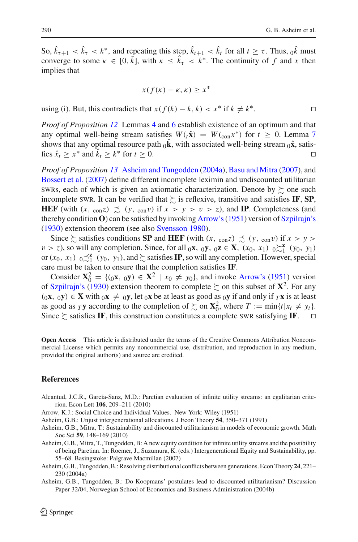So,  $\hat{k}_{\tau+1} < \hat{k}_{\tau} < k^*$ , and repeating this step,  $\hat{k}_{t+1} < \hat{k}_t$  for all  $t \geq \tau$ . Thus,  $0\hat{k}$  must converge to some  $\kappa \in [0, \bar{k}],$  with  $\kappa \leq \hat{k}_{\tau} < k^*$ . The continuity of f and x then implies that

$$
x(f(\kappa)-\kappa,\kappa)\geq x^*
$$

using (i). But, this contradicts that *x*( $f(k) - k, k$ ) < *x*<sup>∗</sup> if  $k ≠ k$ <sup>∗</sup>. □

*Proof of Proposition [12](#page-13-2)* Lemmas [4](#page-21-1) and [6](#page-22-1) establish existence of an optimum and that any optimal well-being stream satisfies  $W(r\hat{x}) = W(\text{const})$  for  $t \ge 0$ . Lemma [7](#page-22-2) shows that any optimal resource path  $0\hat{k}$ , with associated well-being stream  $0\hat{x}$ , satisfies  $\hat{x}_t \geq x^*$  and  $\hat{k}_t \geq k^*$  for  $t \geq 0$ .

*Proof of Proposition [13](#page-13-1)* [Asheim and Tungodden](#page-23-5) [\(2004a](#page-23-5)), [Basu and Mitra](#page-24-29) [\(2007](#page-24-29)), and [Bossert et al.](#page-24-19) [\(2007](#page-24-19)) define different incomplete leximin and undiscounted utilitarian swrs, each of which is given an axiomatic characterization. Denote by  $\succsim$  one such incomplete SWR. It can be verified that  $\succsim$  is reflexive, transitive and satisfies IF, SP, **HEF** (with  $(x, \text{con } z) \precsim (y, \text{con } v)$  if  $x > y > v > z$ ), and **IP**. Completeness (and thereby condition **O**) can be satisfied by invoking [Arrow's\(1951\)](#page-23-6) version of [Szpilrajn's](#page-25-13) [\(1930\)](#page-25-13) extension theorem (see also [Svensson 1980](#page-25-7)).

Since  $\gtrsim$  satisfies conditions **SP** and **HEF** (with  $(x, \text{con } z) \precsim (y, \text{con } v)$  if  $x > y >$  $v > z$ ), so will any completion. Since, for all 0**x**, 0**y**, 0**z**  $\in$  **X**,  $(x_0, x_1)$   $0 \underset{\sim}{\sim}^{\mathbb{Z}}_1$  (*y*<sub>0</sub>, *y*<sub>1</sub>) or  $(x_0, x_1)$   $\underset{0 \leq 1}{\prec}^{\mathbf{z}} (y_0, y_1)$ , and  $\succsim$  satisfies **IP**, so will any completion. However, special care must be taken to ensure that the completion satisfies **IF**.

Consider  $\mathbf{X}_0^2 = \{(\mathbf{0}\mathbf{x}, \mathbf{0}\mathbf{y}) \in \mathbf{X}^2 \mid x_0 \neq y_0\}$ , and invoke [Arrow's](#page-23-6) [\(1951](#page-23-6)) version of [Szpilrajn's](#page-25-13) [\(1930](#page-25-13)) extension theorem to complete  $\succsim$  on this subset of  $\mathbf{X}^2$ . For any  $(0 \textbf{x}, 0 \textbf{y})$  ∈ **X** with  $0 \textbf{x} ≠ 0 \textbf{y}$ , let  $0 \textbf{x}$  be at least as good as  $0 \textbf{y}$  if and only if  $T \textbf{x}$  is at least as good as  $_T$ **y** according to the completion of  $\geq$  on  $\mathbf{X}_0^2$ , where  $T := \min\{t | x_t \neq y_t\}$ . Since  $\succsim$  satisfies IF, this construction constitutes a complete SWR satisfying IF.  $\square$ 

**Open Access** This article is distributed under the terms of the Creative Commons Attribution Noncommercial License which permits any noncommercial use, distribution, and reproduction in any medium, provided the original author(s) and source are credited.

#### **References**

- <span id="page-23-3"></span>Alcantud, J.C.R., García-Sanz, M.D.: Paretian evaluation of infinite utility streams: an egalitarian criterion. Econ Lett **106**, 209–211 (2010)
- <span id="page-23-6"></span>Arrow, K.J.: Social Choice and Individual Values. New York: Wiley (1951)
- <span id="page-23-4"></span>Asheim, G.B.: Unjust intergenerational allocations. J Econ Theory **54**, 350–371 (1991)

<span id="page-23-0"></span>Asheim, G.B., Mitra, T.: Sustainability and discounted utilitarianism in models of economic growth. Math Soc Sci **59**, 148–169 (2010)

- <span id="page-23-2"></span>Asheim, G.B., Mitra, T., Tungodden, B: A new equity condition for infinite utility streams and the possibility of being Paretian. In: Roemer, J., Suzumura, K. (eds.) Intergenerational Equity and Sustainability, pp. 55–68. Basingstoke: Palgrave Macmillan (2007)
- <span id="page-23-5"></span>Asheim, G.B., Tungodden, B.: Resolving distributional conflicts between generations. Econ Theory **24**, 221– 230 (2004a)

<span id="page-23-1"></span>Asheim, G.B., Tungodden, B.: Do Koopmans' postulates lead to discounted utilitarianism? Discussion Paper 32/04, Norwegian School of Economics and Business Administration (2004b)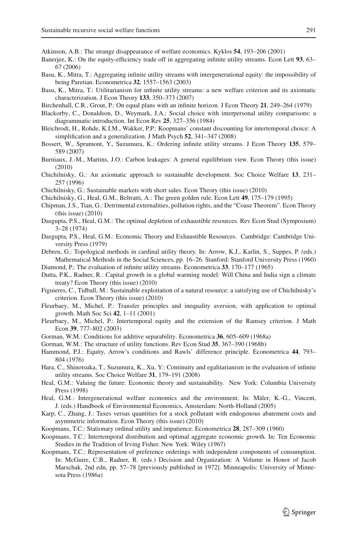Atkinson, A.B.: The strange disappearance of welfare economics. Kyklos **54**, 193–206 (2001)

- <span id="page-24-21"></span><span id="page-24-2"></span>Banerjee, K.: On the equity-efficiency trade off in aggregating infinite utility streams. Econ Lett **93**, 63– 67 (2006)
- <span id="page-24-18"></span>Basu, K., Mitra, T.: Aggregating infinite utility streams with intergenerational equity: the impossibility of being Paretian. Econometrica **32**, 1557–1563 (2003)
- <span id="page-24-29"></span>Basu, K., Mitra, T.: Utilitarianism for infinite utility streams: a new welfare criterion and its axiomatic characterization. J Econ Theory **133**, 350–373 (2007)
- <span id="page-24-22"></span><span id="page-24-16"></span>Birchenhall, C.R., Grout, P.: On equal plans with an infinite horizon. J Econ Theory **21**, 249–264 (1979)
- Blackorby, C., Donaldson, D., Weymark, J.A.: Social choice with interpersonal utility comparisons: a diagrammatic introduction. Int Econ Rev **25**, 327–356 (1984)
- <span id="page-24-26"></span>Bleichrodt, H., Rohde, K.I.M., Wakker, P.P.: Koopmans' constant discounting for intertemporal choice: A simplification and a generalization. J Math Psych **52**, 341–347 (2008)
- <span id="page-24-19"></span>Bossert, W., Sprumont, Y., Suzumura, K.: Ordering infinite utility streams. J Econ Theory **135**, 579– 589 (2007)
- <span id="page-24-5"></span>Burniaux, J.-M., Martins, J.O.: Carbon leakages: A general equilibrium view. Econ Theory (this issue) (2010)
- <span id="page-24-9"></span>Chichilnisky, G.: An axiomatic approach to sustainable development. Soc Choice Welfare **13**, 231– 257 (1996)
- <span id="page-24-15"></span>Chichilnisky, G.: Sustainable markets with short sales. Econ Theory (this issue) (2010)
- <span id="page-24-27"></span>Chichilnisky, G., Heal, G.M., Beltratti, A.: The green golden rule. Econ Lett **49**, 175–179 (1995)
- <span id="page-24-8"></span>Chipman, J.S., Tian, G.: Detrimental externalities, pollution rights, and the "Coase Theorem". Econ Theory (this issue) (2010)
- <span id="page-24-4"></span>Dasgupta, P.S., Heal, G.M.: The optimal depletion of exhaustible resources. Rev Econ Stud (Symposium) 3–28 (1974)
- <span id="page-24-1"></span>Dasgupta, P.S., Heal, G.M.: Economic Theory and Exhaustible Resources. Cambridge: Cambridge University Press (1979)
- <span id="page-24-10"></span>Debreu, G.: Topological methods in cardinal utility theory. In: Arrow, K.J., Karlin, S., Suppes, P. (eds.) Mathematical Methods in the Social Sciences, pp. 16–26. Stanford: Stanford University Press (1960)

<span id="page-24-17"></span>Diamond, P.: The evaluation of infinite utility streams. Econometrica **33**, 170–177 (1965)

- <span id="page-24-6"></span>Dutta, P.K., Radner, R.: Capital growth in a global warming model: Will China and India sign a climate treaty? Econ Theory (this issue) (2010)
- <span id="page-24-28"></span>Figuieres, C., Tidball, M.: Sustainable exploitation of a natural resource: a satisfying use of Chichilnisky's criterion. Econ Theory (this issue) (2010)
- <span id="page-24-23"></span>Fleurbaey, M., Michel, P.: Transfer principles and inequality aversion, with application to optimal growth. Math Soc Sci **42**, 1–11 (2001)
- <span id="page-24-20"></span>Fleurbaey, M., Michel, P.: Intertemporal equity and the extension of the Ramsey criterion. J Math Econ **39**, 777–802 (2003)
- Gorman, W.M.: Conditions for additive separability. Econometrica **36**, 605–609 (1968a)
- <span id="page-24-30"></span><span id="page-24-11"></span>Gorman, W.M.: The structure of utility functions. Rev Econ Stud **35**, 367–390 (1968b)
- <span id="page-24-14"></span>Hammond, P.J.: Equity, Arrow's conditions and Rawls' difference principle. Econometrica **44**, 793– 804 (1976)
- <span id="page-24-24"></span>Hara, C., Shinotsuka, T., Suzumura, K., Xu, Y.: Continuity and egalitarianism in the evaluation of infinite utility streams. Soc Choice Welfare **31**, 179–191 (2008)
- <span id="page-24-25"></span>Heal, G.M.: Valuing the future: Economic theory and sustainability. New York: Columbia University Press (1998)
- <span id="page-24-13"></span>Heal, G.M.: Intergenerational welfare economics and the environment. In: Mäler, K.-G., Vincent, J. (eds.) Handbook of Environmental Economics, Amsterdam: North-Holland (2005)
- <span id="page-24-7"></span>Karp, C., Zhang, J.: Taxes versus quantities for a stock pollutant with endogenous abatement costs and asymmetric information. Econ Theory (this issue) (2010)
- <span id="page-24-3"></span>Koopmans, T.C.: Stationary ordinal utility and impatience. Econometrica **28**, 287–309 (1960)
- <span id="page-24-0"></span>Koopmans, T.C.: Intertemporal distribution and optimal aggregate economic growth. In: Ten Economic Studies in the Tradition of Irving Fisher. New York: Wiley (1967)
- <span id="page-24-12"></span>Koopmans, T.C.: Representation of preference orderings with independent components of consumption. In: McGuire, C.B., Radner, R. (eds.) Decision and Organization: A Volume in Honor of Jacob Marschak, 2nd edn, pp. 57–78 [previously published in 1972]. Minneapolis: University of Minnesota Press (1986a)